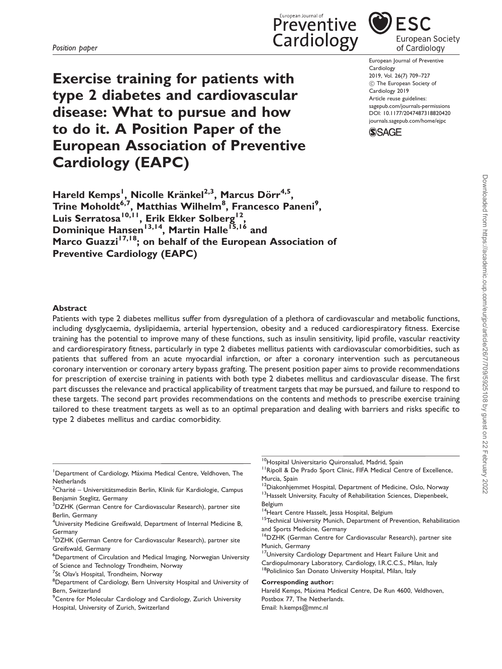Exercise training for patients with type 2 diabetes and cardiovascular disease: What to pursue and how to do it. A Position Paper of the European Association of Preventive Cardiology (EAPC)

Preventive **ESC** Cardiology European Society of Cardiology

> European Journal of Preventive Cardiology 2019, Vol. 26(7) 709–727 ! The European Society of Cardiology 2019 Article reuse guidelines: [sagepub.com/journals-permissions](https://uk.sagepub.com/en-gb/journals-permissions) DOI: [10.1177/2047487318820420](https://doi.org/10.1177/2047487318820420) <journals.sagepub.com/home/ejpc>



Hareld Kemps<sup>1</sup>, Nicolle Kränkel<sup>2,3</sup>, Marcus Dörr<sup>4,5</sup>, Trine Moholdt<sup>6,7</sup>, Matthias Wilhelm<sup>8</sup>, Francesco Paneni<sup>9</sup>, Luis Serratosa<sup>10,11</sup>, Erik Ekker Solberg<sup>12</sup>, Dominique Hansen<sup>13,14</sup>, Martin Halle<sup>15,16</sup> and Marco Guazzi<sup>17,18</sup>; on behalf of the European Association of Preventive Cardiology (EAPC)

#### Abstract

Patients with type 2 diabetes mellitus suffer from dysregulation of a plethora of cardiovascular and metabolic functions, including dysglycaemia, dyslipidaemia, arterial hypertension, obesity and a reduced cardiorespiratory fitness. Exercise training has the potential to improve many of these functions, such as insulin sensitivity, lipid profile, vascular reactivity and cardiorespiratory fitness, particularly in type 2 diabetes mellitus patients with cardiovascular comorbidities, such as patients that suffered from an acute myocardial infarction, or after a coronary intervention such as percutaneous coronary intervention or coronary artery bypass grafting. The present position paper aims to provide recommendations for prescription of exercise training in patients with both type 2 diabetes mellitus and cardiovascular disease. The first part discusses the relevance and practical applicability of treatment targets that may be pursued, and failure to respond to these targets. The second part provides recommendations on the contents and methods to prescribe exercise training tailored to these treatment targets as well as to an optimal preparation and dealing with barriers and risks specific to type 2 diabetes mellitus and cardiac comorbidity.

- <sup>1</sup>Department of Cardiology, Máxima Medical Centre, Veldhoven, The **Netherlands**
- $^{2}$ Charité Universitätsmedizin Berlin, Klinik für Kardiologie, Campus Benjamin Steglitz, Germany
- <sup>3</sup>DZHK (German Centre for Cardiovascular Research), partner site Berlin, Germany
- <sup>4</sup>University Medicine Greifswald, Department of Internal Medicine B, Germany
- 5 DZHK (German Centre for Cardiovascular Research), partner site Greifswald, Germany
- 6 Department of Circulation and Medical Imaging, Norwegian University of Science and Technology Trondheim, Norway
- <sup>7</sup>St Olav's Hospital, Trondheim, Norway

<sup>9</sup> Centre for Molecular Cardiology and Cardiology, Zurich University Hospital, University of Zurich, Switzerland

<sup>10</sup>Hospital Universitario Quironsalud, Madrid, Spain

<sup>11</sup> Ripoll & De Prado Sport Clinic, FIFA Medical Centre of Excellence, Murcia, Spain

- Belgium
- <sup>14</sup> Heart Centre Hasselt, Jessa Hospital, Belgium
- <sup>15</sup>Technical University Munich, Department of Prevention, Rehabilitation and Sports Medicine, Germany
- 16DZHK (German Centre for Cardiovascular Research), partner site Munich, Germany
- <sup>17</sup>University Cardiology Department and Heart Failure Unit and Cardiopulmonary Laboratory, Cardiology, I.R.C.C.S., Milan, Italy <sup>18</sup>Policlinico San Donato University Hospital, Milan, Italy

#### Corresponding author:

Hareld Kemps, Máxima Medical Centre, De Run 4600, Veldhoven, Postbox 77, The Netherlands. Email: h.kemps@mmc.nl

<sup>&</sup>lt;sup>8</sup>Department of Cardiology, Bern University Hospital and University of Bern, Switzerland

<sup>&</sup>lt;sup>12</sup>Diakonhjemmet Hospital, Department of Medicine, Oslo, Norway <sup>13</sup> Hasselt University, Faculty of Rehabilitation Sciences, Diepenbeek,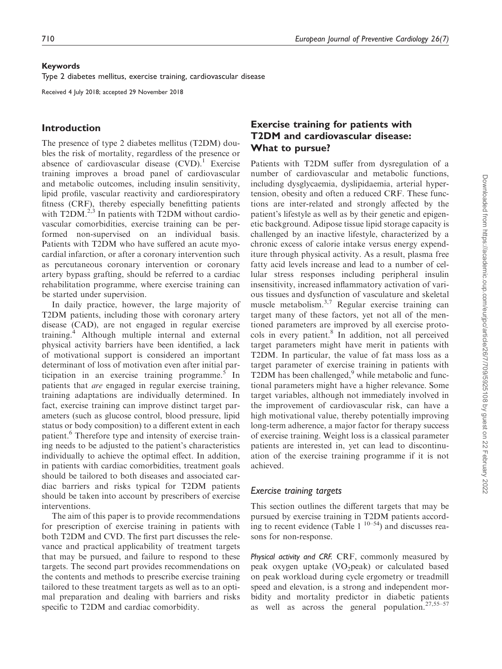#### Keywords

Type 2 diabetes mellitus, exercise training, cardiovascular disease

Received 4 July 2018; accepted 29 November 2018

## Introduction

The presence of type 2 diabetes mellitus (T2DM) doubles the risk of mortality, regardless of the presence or absence of cardiovascular disease  $(CVD)$ .<sup>1</sup> Exercise training improves a broad panel of cardiovascular and metabolic outcomes, including insulin sensitivity, lipid profile, vascular reactivity and cardiorespiratory fitness (CRF), thereby especially benefitting patients with  $T2DM^{2,3}$  In patients with T2DM without cardiovascular comorbidities, exercise training can be performed non-supervised on an individual basis. Patients with T2DM who have suffered an acute myocardial infarction, or after a coronary intervention such as percutaneous coronary intervention or coronary artery bypass grafting, should be referred to a cardiac rehabilitation programme, where exercise training can be started under supervision.

In daily practice, however, the large majority of T2DM patients, including those with coronary artery disease (CAD), are not engaged in regular exercise training.<sup>4</sup> Although multiple internal and external physical activity barriers have been identified, a lack of motivational support is considered an important determinant of loss of motivation even after initial participation in an exercise training programme. $5$  In patients that are engaged in regular exercise training, training adaptations are individually determined. In fact, exercise training can improve distinct target parameters (such as glucose control, blood pressure, lipid status or body composition) to a different extent in each patient.<sup>6</sup> Therefore type and intensity of exercise training needs to be adjusted to the patient's characteristics individually to achieve the optimal effect. In addition, in patients with cardiac comorbidities, treatment goals should be tailored to both diseases and associated cardiac barriers and risks typical for T2DM patients should be taken into account by prescribers of exercise interventions.

The aim of this paper is to provide recommendations for prescription of exercise training in patients with both T2DM and CVD. The first part discusses the relevance and practical applicability of treatment targets that may be pursued, and failure to respond to these targets. The second part provides recommendations on the contents and methods to prescribe exercise training tailored to these treatment targets as well as to an optimal preparation and dealing with barriers and risks specific to T2DM and cardiac comorbidity.

# Exercise training for patients with T2DM and cardiovascular disease: What to pursue?

Patients with T2DM suffer from dysregulation of a number of cardiovascular and metabolic functions, including dysglycaemia, dyslipidaemia, arterial hypertension, obesity and often a reduced CRF. These functions are inter-related and strongly affected by the patient's lifestyle as well as by their genetic and epigenetic background. Adipose tissue lipid storage capacity is challenged by an inactive lifestyle, characterized by a chronic excess of calorie intake versus energy expenditure through physical activity. As a result, plasma free fatty acid levels increase and lead to a number of cellular stress responses including peripheral insulin insensitivity, increased inflammatory activation of various tissues and dysfunction of vasculature and skeletal muscle metabolism.3,7 Regular exercise training can target many of these factors, yet not all of the mentioned parameters are improved by all exercise protocols in every patient.<sup>8</sup> In addition, not all perceived target parameters might have merit in patients with T2DM. In particular, the value of fat mass loss as a target parameter of exercise training in patients with T2DM has been challenged, $9$  while metabolic and functional parameters might have a higher relevance. Some target variables, although not immediately involved in the improvement of cardiovascular risk, can have a high motivational value, thereby potentially improving long-term adherence, a major factor for therapy success of exercise training. Weight loss is a classical parameter patients are interested in, yet can lead to discontinuation of the exercise training programme if it is not achieved.

#### Exercise training targets

This section outlines the different targets that may be pursued by exercise training in T2DM patients according to recent evidence (Table  $1^{10-54}$ ) and discusses reasons for non-response.

Physical activity and CRF. CRF, commonly measured by peak oxygen uptake  $(VO_2$ peak) or calculated based on peak workload during cycle ergometry or treadmill speed and elevation, is a strong and independent morbidity and mortality predictor in diabetic patients as well as across the general population. $27,55-57$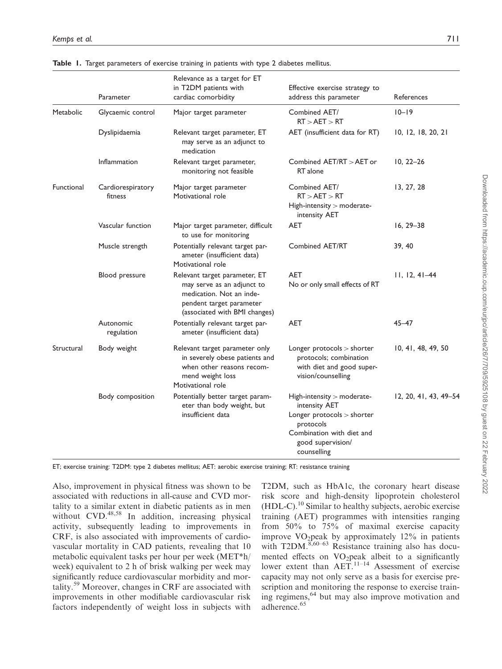|            | Parameter                    | Relevance as a target for ET<br>in T2DM patients with<br>cardiac comorbidity                                                                         | Effective exercise strategy to<br>address this parameter                                                                                                | References            |
|------------|------------------------------|------------------------------------------------------------------------------------------------------------------------------------------------------|---------------------------------------------------------------------------------------------------------------------------------------------------------|-----------------------|
| Metabolic  | Glycaemic control            | Major target parameter                                                                                                                               | Combined AET/<br>RT > AET > RT                                                                                                                          | $10 - 19$             |
|            | Dyslipidaemia                | Relevant target parameter, ET<br>may serve as an adjunct to<br>medication                                                                            | AET (insufficient data for RT)                                                                                                                          | 10, 12, 18, 20, 21    |
|            | Inflammation                 | Relevant target parameter,<br>monitoring not feasible                                                                                                | Combined AET/RT > AET or<br>RT alone                                                                                                                    | $10, 22 - 26$         |
| Functional | Cardiorespiratory<br>fitness | Major target parameter<br>Motivational role                                                                                                          | Combined AET/<br>RT > AET > RT<br>High-intensity > moderate-<br>intensity AET                                                                           | 13, 27, 28            |
|            | Vascular function            | Major target parameter, difficult<br>to use for monitoring                                                                                           | AET                                                                                                                                                     | $16, 29 - 38$         |
|            | Muscle strength              | Potentially relevant target par-<br>ameter (insufficient data)<br>Motivational role                                                                  | Combined AET/RT                                                                                                                                         | 39, 40                |
|            | Blood pressure               | Relevant target parameter, ET<br>may serve as an adjunct to<br>medication. Not an inde-<br>pendent target parameter<br>(associated with BMI changes) | <b>AET</b><br>No or only small effects of RT                                                                                                            | $11, 12, 41-44$       |
|            | Autonomic<br>regulation      | Potentially relevant target par-<br>ameter (insufficient data)                                                                                       | AET                                                                                                                                                     | 45-47                 |
| Structural | Body weight                  | Relevant target parameter only<br>in severely obese patients and<br>when other reasons recom-<br>mend weight loss<br>Motivational role               | Longer protocols > shorter<br>protocols; combination<br>with diet and good super-<br>vision/counselling                                                 | 10, 41, 48, 49, 50    |
|            | Body composition             | Potentially better target param-<br>eter than body weight, but<br>insufficient data                                                                  | High-intensity > moderate-<br>intensity AET<br>Longer protocols > shorter<br>protocols<br>Combination with diet and<br>good supervision/<br>counselling | 12, 20, 41, 43, 49–54 |

Table 1. Target parameters of exercise training in patients with type 2 diabetes mellitus.

ET; exercise training: T2DM: type 2 diabetes mellitus; AET: aerobic exercise training; RT: resistance training

Also, improvement in physical fitness was shown to be associated with reductions in all-cause and CVD mortality to a similar extent in diabetic patients as in men without CVD.<sup>48,58</sup> In addition, increasing physical activity, subsequently leading to improvements in CRF, is also associated with improvements of cardiovascular mortality in CAD patients, revealing that 10 metabolic equivalent tasks per hour per week (MET\*h/ week) equivalent to 2 h of brisk walking per week may significantly reduce cardiovascular morbidity and mortality.<sup>59</sup> Moreover, changes in CRF are associated with improvements in other modifiable cardiovascular risk factors independently of weight loss in subjects with

T2DM, such as HbA1c, the coronary heart disease risk score and high-density lipoprotein cholesterol  $(HDL-C)$ .<sup>10</sup> Similar to healthy subjects, aerobic exercise training (AET) programmes with intensities ranging from 50% to 75% of maximal exercise capacity improve  $VO<sub>2</sub>peak$  by approximately 12% in patients with T2DM. $8,60-63$  Resistance training also has documented effects on  $VO<sub>2</sub>peak$  albeit to a significantly lower extent than  $AET$ <sup>11–14</sup> Assessment of exercise capacity may not only serve as a basis for exercise prescription and monitoring the response to exercise training regimens,<sup>64</sup> but may also improve motivation and adherence.<sup>65</sup>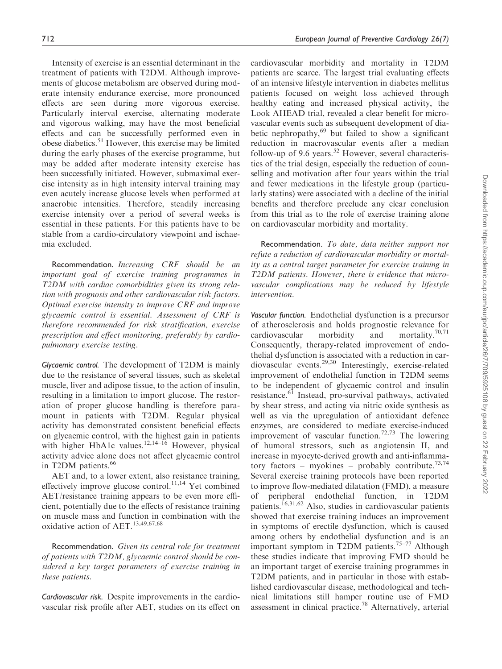Intensity of exercise is an essential determinant in the treatment of patients with T2DM. Although improvements of glucose metabolism are observed during moderate intensity endurance exercise, more pronounced effects are seen during more vigorous exercise. Particularly interval exercise, alternating moderate and vigorous walking, may have the most beneficial effects and can be successfully performed even in obese diabetics.<sup>51</sup> However, this exercise may be limited during the early phases of the exercise programme, but may be added after moderate intensity exercise has been successfully initiated. However, submaximal exercise intensity as in high intensity interval training may even acutely increase glucose levels when performed at anaerobic intensities. Therefore, steadily increasing exercise intensity over a period of several weeks is essential in these patients. For this patients have to be stable from a cardio-circulatory viewpoint and ischaemia excluded.

Recommendation. Increasing CRF should be an important goal of exercise training programmes in T2DM with cardiac comorbidities given its strong relation with prognosis and other cardiovascular risk factors. Optimal exercise intensity to improve CRF and improve glycaemic control is essential. Assessment of CRF is therefore recommended for risk stratification, exercise prescription and effect monitoring, preferably by cardiopulmonary exercise testing.

Glycaemic control. The development of T2DM is mainly due to the resistance of several tissues, such as skeletal muscle, liver and adipose tissue, to the action of insulin, resulting in a limitation to import glucose. The restoration of proper glucose handling is therefore paramount in patients with T2DM. Regular physical activity has demonstrated consistent beneficial effects on glycaemic control, with the highest gain in patients with higher HbA1c values.<sup>12,14–16</sup> However, physical activity advice alone does not affect glycaemic control in T2DM patients.<sup>66</sup>

AET and, to a lower extent, also resistance training, effectively improve glucose control.<sup>11,14</sup> Yet combined AET/resistance training appears to be even more efficient, potentially due to the effects of resistance training on muscle mass and function in combination with the oxidative action of AET.13,49,67,68

Recommendation. Given its central role for treatment of patients with T2DM, glycaemic control should be considered a key target parameters of exercise training in these patients.

Cardiovascular risk. Despite improvements in the cardiovascular risk profile after AET, studies on its effect on cardiovascular morbidity and mortality in T2DM patients are scarce. The largest trial evaluating effects of an intensive lifestyle intervention in diabetes mellitus patients focused on weight loss achieved through healthy eating and increased physical activity, the Look AHEAD trial, revealed a clear benefit for microvascular events such as subsequent development of diabetic nephropathy,<sup>69</sup> but failed to show a significant reduction in macrovascular events after a median follow-up of 9.6 years.<sup>52</sup> However, several characteristics of the trial design, especially the reduction of counselling and motivation after four years within the trial and fewer medications in the lifestyle group (particularly statins) were associated with a decline of the initial benefits and therefore preclude any clear conclusion from this trial as to the role of exercise training alone on cardiovascular morbidity and mortality.

Recommendation. To date, data neither support nor refute a reduction of cardiovascular morbidity or mortality as a central target parameter for exercise training in T2DM patients. However, there is evidence that microvascular complications may be reduced by lifestyle intervention.

Vascular function. Endothelial dysfunction is a precursor of atherosclerosis and holds prognostic relevance for cardiovascular morbidity and mortality.<sup>70,71</sup> Consequently, therapy-related improvement of endothelial dysfunction is associated with a reduction in cardiovascular events.29,30 Interestingly, exercise-related improvement of endothelial function in T2DM seems to be independent of glycaemic control and insulin resistance.<sup>61</sup> Instead, pro-survival pathways, activated by shear stress, and acting via nitric oxide synthesis as well as via the upregulation of antioxidant defence enzymes, are considered to mediate exercise-induced improvement of vascular function.<sup>72,73</sup> The lowering of humoral stressors, such as angiotensin II, and increase in myocyte-derived growth and anti-inflammatory factors – myokines – probably contribute.<sup>73,74</sup> Several exercise training protocols have been reported to improve flow-mediated dilatation (FMD), a measure of peripheral endothelial function, in T2DM patients.<sup>16,31,62</sup> Also, studies in cardiovascular patients showed that exercise training induces an improvement in symptoms of erectile dysfunction, which is caused among others by endothelial dysfunction and is an important symptom in T2DM patients.<sup>75–77</sup> Although these studies indicate that improving FMD should be an important target of exercise training programmes in T2DM patients, and in particular in those with established cardiovascular disease, methodological and technical limitations still hamper routine use of FMD assessment in clinical practice.<sup>78</sup> Alternatively, arterial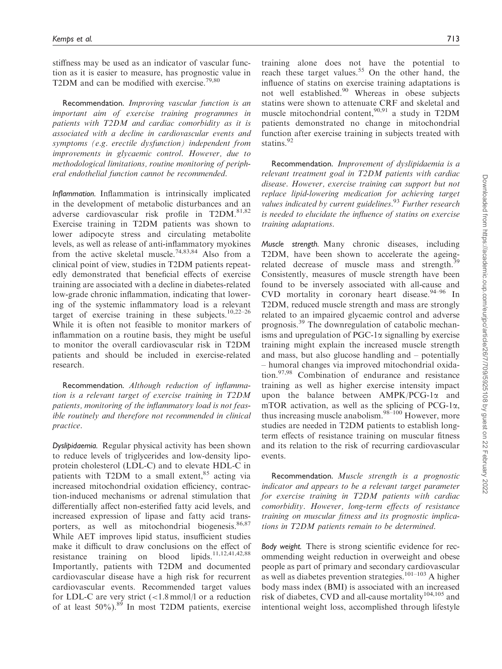stiffness may be used as an indicator of vascular function as it is easier to measure, has prognostic value in T2DM and can be modified with exercise.<sup>79,80</sup>

Recommendation. Improving vascular function is an important aim of exercise training programmes in patients with T2DM and cardiac comorbidity as it is associated with a decline in cardiovascular events and symptoms (e.g. erectile dysfunction) independent from improvements in glycaemic control. However, due to methodological limitations, routine monitoring of peripheral endothelial function cannot be recommended.

Inflammation. Inflammation is intrinsically implicated in the development of metabolic disturbances and an adverse cardiovascular risk profile in T2DM.<sup>81,82</sup> Exercise training in T2DM patients was shown to lower adipocyte stress and circulating metabolite levels, as well as release of anti-inflammatory myokines from the active skeletal muscle.<sup>74,83,84</sup> Also from a clinical point of view, studies in T2DM patients repeatedly demonstrated that beneficial effects of exercise training are associated with a decline in diabetes-related low-grade chronic inflammation, indicating that lowering of the systemic inflammatory load is a relevant target of exercise training in these subjects.<sup>10,22–26</sup> While it is often not feasible to monitor markers of inflammation on a routine basis, they might be useful to monitor the overall cardiovascular risk in T2DM patients and should be included in exercise-related research.

Recommendation. Although reduction of inflammation is a relevant target of exercise training in T2DM patients, monitoring of the inflammatory load is not feasible routinely and therefore not recommended in clinical practice.

Dyslipidaemia. Regular physical activity has been shown to reduce levels of triglycerides and low-density lipoprotein cholesterol (LDL-C) and to elevate HDL-C in patients with T2DM to a small extent, $85$  acting via increased mitochondrial oxidation efficiency, contraction-induced mechanisms or adrenal stimulation that differentially affect non-esterified fatty acid levels, and increased expression of lipase and fatty acid transporters, as well as mitochondrial biogenesis.<sup>86,87</sup> While AET improves lipid status, insufficient studies make it difficult to draw conclusions on the effect of resistance training on blood lipids.11,12,41,42,88 Importantly, patients with T2DM and documented cardiovascular disease have a high risk for recurrent cardiovascular events. Recommended target values for LDL-C are very strict  $\left($  < 1.8 mmol/l or a reduction of at least 50%).<sup>89</sup> In most T2DM patients, exercise training alone does not have the potential to reach these target values.<sup>55</sup> On the other hand, the influence of statins on exercise training adaptations is not well established.<sup>90</sup> Whereas in obese subjects statins were shown to attenuate CRF and skeletal and muscle mitochondrial content,  $90,91$  a study in T2DM patients demonstrated no change in mitochondrial function after exercise training in subjects treated with statins.<sup>92</sup>

Recommendation. Improvement of dyslipidaemia is a relevant treatment goal in T2DM patients with cardiac disease. However, exercise training can support but not replace lipid-lowering medication for achieving target values indicated by current guidelines. $93$  Further research is needed to elucidate the influence of statins on exercise training adaptations.

Muscle strength. Many chronic diseases, including T2DM, have been shown to accelerate the ageingrelated decrease of muscle mass and strength.<sup>39</sup> Consistently, measures of muscle strength have been found to be inversely associated with all-cause and CVD mortality in coronary heart disease.<sup>94-96</sup> In T2DM, reduced muscle strength and mass are strongly related to an impaired glycaemic control and adverse prognosis.<sup>39</sup> The downregulation of catabolic mechanisms and upregulation of  $PGC-1\alpha$  signalling by exercise training might explain the increased muscle strength and mass, but also glucose handling and – potentially – humoral changes via improved mitochondrial oxidation.97,98 Combination of endurance and resistance training as well as higher exercise intensity impact upon the balance between  $AMPK/PCG-1\alpha$  and mTOR activation, as well as the splicing of  $PCG-1\alpha$ , thus increasing muscle anabolism. $98-100$  However, more studies are needed in T2DM patients to establish longterm effects of resistance training on muscular fitness and its relation to the risk of recurring cardiovascular events.

Recommendation. Muscle strength is a prognostic indicator and appears to be a relevant target parameter for exercise training in T2DM patients with cardiac comorbidity. However, long-term effects of resistance training on muscular fitness and its prognostic implications in T2DM patients remain to be determined.

Body weight. There is strong scientific evidence for recommending weight reduction in overweight and obese people as part of primary and secondary cardiovascular as well as diabetes prevention strategies.<sup>101-103</sup> A higher body mass index (BMI) is associated with an increased risk of diabetes, CVD and all-cause mortality<sup>104,105</sup> and intentional weight loss, accomplished through lifestyle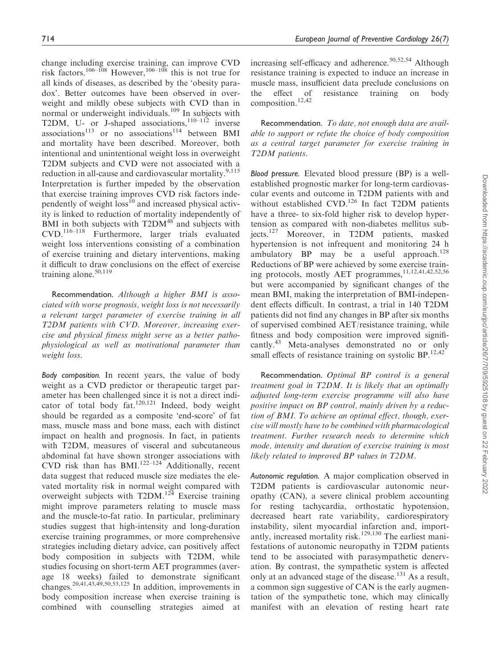change including exercise training, can improve CVD risk factors.<sup>106–108</sup> However,<sup>106–108</sup> this is not true for all kinds of diseases, as described by the 'obesity paradox'. Better outcomes have been observed in overweight and mildly obese subjects with CVD than in normal or underweight individuals.<sup>109</sup> In subjects with T2DM, U- or J-shaped associations,<sup>110–112</sup> inverse associations<sup>113</sup> or no associations<sup>114</sup> between BMI and mortality have been described. Moreover, both intentional and unintentional weight loss in overweight T2DM subjects and CVD were not associated with a reduction in all-cause and cardiovascular mortality. $9,115$ Interpretation is further impeded by the observation that exercise training improves CVD risk factors independently of weight  $loss^{10}$  and increased physical activity is linked to reduction of mortality independently of BMI in both subjects with  $T2DM^{48}$  and subjects with CVD.116–118 Furthermore, larger trials evaluated weight loss interventions consisting of a combination of exercise training and dietary interventions, making it difficult to draw conclusions on the effect of exercise training alone.<sup>50,119</sup>

Recommendation. Although a higher BMI is associated with worse prognosis, weight loss is not necessarily a relevant target parameter of exercise training in all T2DM patients with CVD. Moreover, increasing exercise and physical fitness might serve as a better pathophysiological as well as motivational parameter than weight loss.

Body composition. In recent years, the value of body weight as a CVD predictor or therapeutic target parameter has been challenged since it is not a direct indicator of total body fat.<sup>120,121</sup> Indeed, body weight should be regarded as a composite 'end-score' of fat mass, muscle mass and bone mass, each with distinct impact on health and prognosis. In fact, in patients with T2DM, measures of visceral and subcutaneous abdominal fat have shown stronger associations with CVD risk than has BMI.<sup>122–124</sup> Additionally, recent data suggest that reduced muscle size mediates the elevated mortality risk in normal weight compared with overweight subjects with  $T2DM.<sup>124</sup>$  Exercise training might improve parameters relating to muscle mass and the muscle-to-fat ratio. In particular, preliminary studies suggest that high-intensity and long-duration exercise training programmes, or more comprehensive strategies including dietary advice, can positively affect body composition in subjects with T2DM, while studies focusing on short-term AET programmes (average 18 weeks) failed to demonstrate significant changes.20,41,43,49,50,53,125 In addition, improvements in body composition increase when exercise training is combined with counselling strategies aimed at increasing self-efficacy and adherence.<sup>50,52,54</sup> Although resistance training is expected to induce an increase in muscle mass, insufficient data preclude conclusions on the effect of resistance training on body composition.12,42

Recommendation. To date, not enough data are available to support or refute the choice of body composition as a central target parameter for exercise training in T2DM patients.

Blood pressure. Elevated blood pressure (BP) is a wellestablished prognostic marker for long-term cardiovascular events and outcome in T2DM patients with and without established CVD.<sup>126</sup> In fact T2DM patients have a three- to six-fold higher risk to develop hypertension as compared with non-diabetes mellitus subjects.<sup>127</sup> Moreover, in T2DM patients, masked hypertension is not infrequent and monitoring 24 h ambulatory BP may be a useful approach.<sup>128</sup> Reductions of BP were achieved by some exercise training protocols, mostly AET programmes, 11,12,41,42,52,56 but were accompanied by significant changes of the mean BMI, making the interpretation of BMI-independent effects difficult. In contrast, a trial in 140 T2DM patients did not find any changes in BP after six months of supervised combined AET/resistance training, while fitness and body composition were improved significantly.<sup>43</sup> Meta-analyses demonstrated no or only small effects of resistance training on systolic  $BP$ .<sup>12,42</sup>

Recommendation. Optimal BP control is a general treatment goal in T2DM. It is likely that an optimally adjusted long-term exercise programme will also have positive impact on BP control, mainly driven by a reduction of BMI. To achieve an optimal effect, though, exercise will mostly have to be combined with pharmacological treatment. Further research needs to determine which mode, intensity and duration of exercise training is most likely related to improved BP values in T2DM.

Autonomic regulation. A major complication observed in T2DM patients is cardiovascular autonomic neuropathy (CAN), a severe clinical problem accounting for resting tachycardia, orthostatic hypotension, decreased heart rate variability, cardiorespiratory instability, silent myocardial infarction and, importantly, increased mortality risk.<sup>129,130</sup> The earliest manifestations of autonomic neuropathy in T2DM patients tend to be associated with parasympathetic denervation. By contrast, the sympathetic system is affected only at an advanced stage of the disease.<sup>131</sup> As a result, a common sign suggestive of CAN is the early augmentation of the sympathetic tone, which may clinically manifest with an elevation of resting heart rate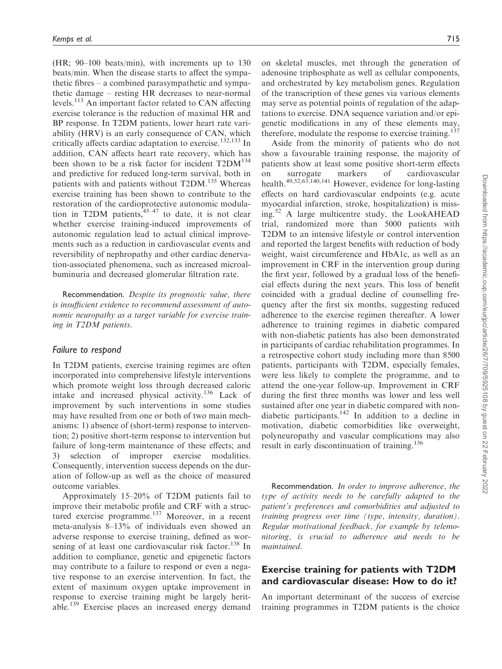(HR; 90–100 beats/min), with increments up to 130 beats/min. When the disease starts to affect the sympathetic fibres – a combined parasympathetic and sympathetic damage – resting HR decreases to near-normal levels.<sup>113</sup> An important factor related to CAN affecting exercise tolerance is the reduction of maximal HR and BP response. In T2DM patients, lower heart rate variability (HRV) is an early consequence of CAN, which critically affects cardiac adaptation to exercise.<sup>132,133</sup> In addition, CAN affects heart rate recovery, which has been shown to be a risk factor for incident  $T2DM^{134}$ and predictive for reduced long-term survival, both in patients with and patients without T2DM.<sup>135</sup> Whereas exercise training has been shown to contribute to the restoration of the cardioprotective autonomic modulation in T2DM patients, $45-47$  to date, it is not clear whether exercise training-induced improvements of autonomic regulation lead to actual clinical improvements such as a reduction in cardiovascular events and reversibility of nephropathy and other cardiac denervation-associated phenomena, such as increased microalbuminuria and decreased glomerular filtration rate.

Recommendation. Despite its prognostic value, there is insufficient evidence to recommend assessment of autonomic neuropathy as a target variable for exercise training in T2DM patients.

#### Failure to respond

In T2DM patients, exercise training regimes are often incorporated into comprehensive lifestyle interventions which promote weight loss through decreased caloric intake and increased physical activity.<sup>136</sup> Lack of improvement by such interventions in some studies may have resulted from one or both of two main mechanisms: 1) absence of (short-term) response to intervention; 2) positive short-term response to intervention but failure of long-term maintenance of these effects; and 3) selection of improper exercise modalities. Consequently, intervention success depends on the duration of follow-up as well as the choice of measured outcome variables.

Approximately 15–20% of T2DM patients fail to improve their metabolic profile and CRF with a structured exercise programme. $137$  Moreover, in a recent meta-analysis 8–13% of individuals even showed an adverse response to exercise training, defined as worsening of at least one cardiovascular risk factor.<sup>138</sup> In addition to compliance, genetic and epigenetic factors may contribute to a failure to respond or even a negative response to an exercise intervention. In fact, the extent of maximum oxygen uptake improvement in response to exercise training might be largely heritable.<sup>139</sup> Exercise places an increased energy demand on skeletal muscles, met through the generation of adenosine triphosphate as well as cellular components, and orchestrated by key metabolism genes. Regulation of the transcription of these genes via various elements may serve as potential points of regulation of the adaptations to exercise. DNA sequence variation and/or epigenetic modifications in any of these elements may, therefore, modulate the response to exercise training.<sup>137</sup>

Aside from the minority of patients who do not show a favourable training response, the majority of patients show at least some positive short-term effects on surrogate markers of cardiovascular health.<sup>49,52,63,140,141</sup> However, evidence for long-lasting effects on hard cardiovascular endpoints (e.g. acute myocardial infarction, stroke, hospitalization) is missing.<sup>52</sup> A large multicentre study, the LookAHEAD trial, randomized more than 5000 patients with T2DM to an intensive lifestyle or control intervention and reported the largest benefits with reduction of body weight, waist circumference and HbA1c, as well as an improvement in CRF in the intervention group during the first year, followed by a gradual loss of the beneficial effects during the next years. This loss of benefit coincided with a gradual decline of counselling frequency after the first six months, suggesting reduced adherence to the exercise regimen thereafter. A lower adherence to training regimes in diabetic compared with non-diabetic patients has also been demonstrated in participants of cardiac rehabilitation programmes. In a retrospective cohort study including more than 8500 patients, participants with T2DM, especially females, were less likely to complete the programme, and to attend the one-year follow-up. Improvement in CRF during the first three months was lower and less well sustained after one year in diabetic compared with nondiabetic participants.<sup>142</sup> In addition to a decline in motivation, diabetic comorbidities like overweight, polyneuropathy and vascular complications may also result in early discontinuation of training.<sup>136</sup>

Recommendation. In order to improve adherence, the type of activity needs to be carefully adapted to the patient's preferences and comorbidities and adjusted to training progress over time (type, intensity, duration). Regular motivational feedback, for example by telemonitoring, is crucial to adherence and needs to be maintained.

## Exercise training for patients with T2DM and cardiovascular disease: How to do it?

An important determinant of the success of exercise training programmes in T2DM patients is the choice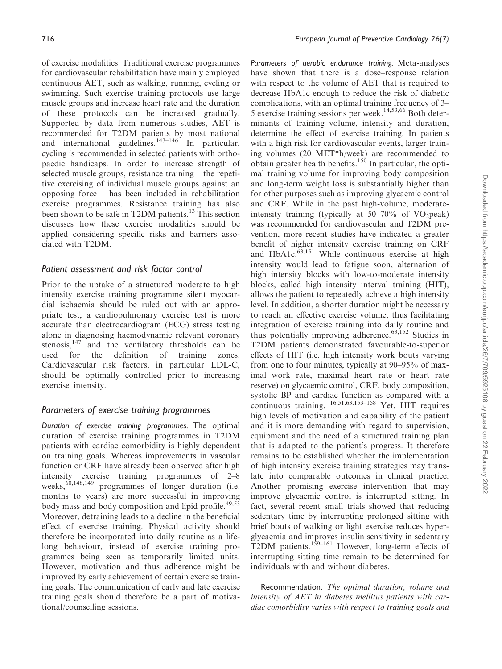of exercise modalities. Traditional exercise programmes for cardiovascular rehabilitation have mainly employed continuous AET, such as walking, running, cycling or swimming. Such exercise training protocols use large muscle groups and increase heart rate and the duration of these protocols can be increased gradually. Supported by data from numerous studies, AET is recommended for T2DM patients by most national and international guidelines.<sup>143–146</sup> In particular, cycling is recommended in selected patients with orthopaedic handicaps. In order to increase strength of selected muscle groups, resistance training – the repetitive exercising of individual muscle groups against an opposing force – has been included in rehabilitation exercise programmes. Resistance training has also been shown to be safe in T2DM patients.<sup>13</sup> This section discusses how these exercise modalities should be applied considering specific risks and barriers associated with T2DM.

## Patient assessment and risk factor control

Prior to the uptake of a structured moderate to high intensity exercise training programme silent myocardial ischaemia should be ruled out with an appropriate test; a cardiopulmonary exercise test is more accurate than electrocardiogram (ECG) stress testing alone in diagnosing haemodynamic relevant coronary stenosis, $147$  and the ventilatory thresholds can be used for the definition of training zones. Cardiovascular risk factors, in particular LDL-C, should be optimally controlled prior to increasing exercise intensity.

#### Parameters of exercise training programmes

Duration of exercise training programmes. The optimal duration of exercise training programmes in T2DM patients with cardiac comorbidity is highly dependent on training goals. Whereas improvements in vascular function or CRF have already been observed after high intensity exercise training programmes of 2–8 weeks, $60,148,149$  programmes of longer duration (i.e. months to years) are more successful in improving body mass and body composition and lipid profile.<sup>49,53</sup> Moreover, detraining leads to a decline in the beneficial effect of exercise training. Physical activity should therefore be incorporated into daily routine as a lifelong behaviour, instead of exercise training programmes being seen as temporarily limited units. However, motivation and thus adherence might be improved by early achievement of certain exercise training goals. The communication of early and late exercise training goals should therefore be a part of motivational/counselling sessions.

Parameters of aerobic endurance training. Meta-analyses have shown that there is a dose–response relation with respect to the volume of AET that is required to decrease HbA1c enough to reduce the risk of diabetic complications, with an optimal training frequency of 3– 5 exercise training sessions per week.<sup>14,53,66</sup> Both determinants of training volume, intensity and duration, determine the effect of exercise training. In patients with a high risk for cardiovascular events, larger training volumes (20 MET\*h/week) are recommended to obtain greater health benefits.<sup>150</sup> In particular, the optimal training volume for improving body composition and long-term weight loss is substantially higher than for other purposes such as improving glycaemic control and CRF. While in the past high-volume, moderateintensity training (typically at  $50-70\%$  of VO<sub>2</sub>peak) was recommended for cardiovascular and T2DM prevention, more recent studies have indicated a greater benefit of higher intensity exercise training on CRF and HbA1c. $\overline{63,151}$  While continuous exercise at high intensity would lead to fatigue soon, alternation of high intensity blocks with low-to-moderate intensity blocks, called high intensity interval training (HIT), allows the patient to repeatedly achieve a high intensity level. In addition, a shorter duration might be necessary to reach an effective exercise volume, thus facilitating integration of exercise training into daily routine and thus potentially improving adherence.<sup>63,152</sup> Studies in T2DM patients demonstrated favourable-to-superior effects of HIT (i.e. high intensity work bouts varying from one to four minutes, typically at 90–95% of maximal work rate, maximal heart rate or heart rate reserve) on glycaemic control, CRF, body composition, systolic BP and cardiac function as compared with a continuous training.  $^{16,51,63,153-158}$  Yet, HIT requires high levels of motivation and capability of the patient and it is more demanding with regard to supervision, equipment and the need of a structured training plan that is adapted to the patient's progress. It therefore remains to be established whether the implementation of high intensity exercise training strategies may translate into comparable outcomes in clinical practice. Another promising exercise intervention that may improve glycaemic control is interrupted sitting. In fact, several recent small trials showed that reducing sedentary time by interrupting prolonged sitting with brief bouts of walking or light exercise reduces hyperglycaemia and improves insulin sensitivity in sedentary T2DM patients.<sup>159-161</sup> However, long-term effects of interrupting sitting time remain to be determined for individuals with and without diabetes.

Recommendation. The optimal duration, volume and intensity of AET in diabetes mellitus patients with cardiac comorbidity varies with respect to training goals and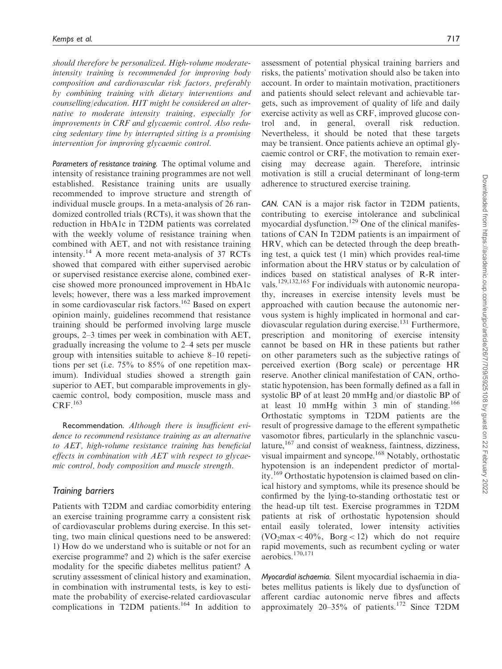should therefore be personalized. High-volume moderateintensity training is recommended for improving body composition and cardiovascular risk factors, preferably by combining training with dietary interventions and counselling/education. HIT might be considered an alternative to moderate intensity training, especially for improvements in CRF and glycaemic control. Also reducing sedentary time by interrupted sitting is a promising intervention for improving glycaemic control.

Parameters of resistance training. The optimal volume and intensity of resistance training programmes are not well established. Resistance training units are usually recommended to improve structure and strength of individual muscle groups. In a meta-analysis of 26 randomized controlled trials (RCTs), it was shown that the reduction in HbA1c in T2DM patients was correlated with the weekly volume of resistance training when combined with AET, and not with resistance training intensity.<sup>14</sup> A more recent meta-analysis of  $37$  RCTs showed that compared with either supervised aerobic or supervised resistance exercise alone, combined exercise showed more pronounced improvement in HbA1c levels; however, there was a less marked improvement in some cardiovascular risk factors.<sup>162</sup> Based on expert opinion mainly, guidelines recommend that resistance training should be performed involving large muscle groups, 2–3 times per week in combination with AET, gradually increasing the volume to 2–4 sets per muscle group with intensities suitable to achieve 8–10 repetitions per set (i.e. 75% to 85% of one repetition maximum). Individual studies showed a strength gain superior to AET, but comparable improvements in glycaemic control, body composition, muscle mass and  $CRF<sup>163</sup>$ 

Recommendation. Although there is insufficient evidence to recommend resistance training as an alternative to AET, high-volume resistance training has beneficial effects in combination with AET with respect to glycaemic control, body composition and muscle strength.

#### Training barriers

Patients with T2DM and cardiac comorbidity entering an exercise training programme carry a consistent risk of cardiovascular problems during exercise. In this setting, two main clinical questions need to be answered: 1) How do we understand who is suitable or not for an exercise programme? and 2) which is the safer exercise modality for the specific diabetes mellitus patient? A scrutiny assessment of clinical history and examination, in combination with instrumental tests, is key to estimate the probability of exercise-related cardiovascular complications in T2DM patients.<sup>164</sup> In addition to assessment of potential physical training barriers and risks, the patients' motivation should also be taken into account. In order to maintain motivation, practitioners and patients should select relevant and achievable targets, such as improvement of quality of life and daily exercise activity as well as CRF, improved glucose control and, in general, overall risk reduction. Nevertheless, it should be noted that these targets may be transient. Once patients achieve an optimal glycaemic control or CRF, the motivation to remain exercising may decrease again. Therefore, intrinsic motivation is still a crucial determinant of long-term adherence to structured exercise training.

CAN. CAN is a major risk factor in T2DM patients, contributing to exercise intolerance and subclinical myocardial dysfunction.<sup>129</sup> One of the clinical manifestations of CAN In T2DM patients is an impairment of HRV, which can be detected through the deep breathing test, a quick test (1 min) which provides real-time information about the HRV status or by calculation of indices based on statistical analyses of R-R intervals.<sup>129,132,165</sup> For individuals with autonomic neuropathy, increases in exercise intensity levels must be approached with caution because the autonomic nervous system is highly implicated in hormonal and cardiovascular regulation during exercise.<sup>131</sup> Furthermore, prescription and monitoring of exercise intensity cannot be based on HR in these patients but rather on other parameters such as the subjective ratings of perceived exertion (Borg scale) or percentage HR reserve. Another clinical manifestation of CAN, orthostatic hypotension, has been formally defined as a fall in systolic BP of at least 20 mmHg and/or diastolic BP of at least 10 mmHg within 3 min of standing.<sup>166</sup> Orthostatic symptoms in T2DM patients are the result of progressive damage to the efferent sympathetic vasomotor fibres, particularly in the splanchnic vasculature,<sup>167</sup> and consist of weakness, faintness, dizziness, visual impairment and syncope.<sup>168</sup> Notably, orthostatic hypotension is an independent predictor of mortality.<sup>169</sup> Orthostatic hypotension is claimed based on clinical history and symptoms, while its presence should be confirmed by the lying-to-standing orthostatic test or the head-up tilt test. Exercise programmes in T2DM patients at risk of orthostatic hypotension should entail easily tolerated, lower intensity activities  $(VO<sub>2</sub>max < 40\%$ , Borg < 12) which do not require rapid movements, such as recumbent cycling or water aerobics.170,171

Myocardial ischaemia. Silent myocardial ischaemia in diabetes mellitus patients is likely due to dysfunction of afferent cardiac autonomic nerve fibres and affects approximately  $20-35\%$  of patients.<sup>172</sup> Since T2DM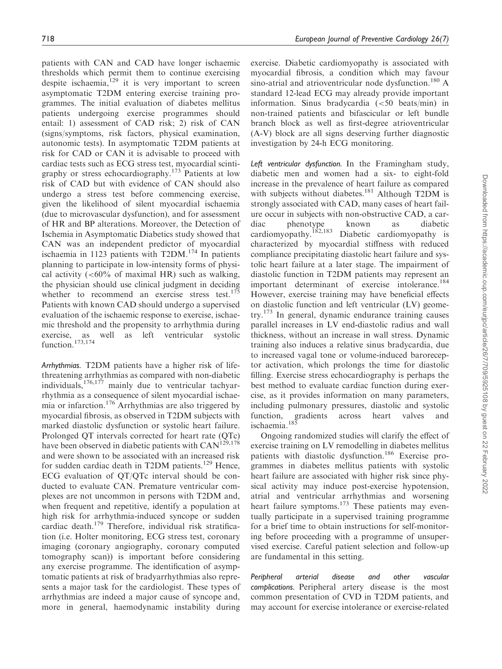patients with CAN and CAD have longer ischaemic thresholds which permit them to continue exercising despite ischaemia,<sup>129</sup> it is very important to screen asymptomatic T2DM entering exercise training programmes. The initial evaluation of diabetes mellitus patients undergoing exercise programmes should entail: 1) assessment of CAD risk; 2) risk of CAN (signs/symptoms, risk factors, physical examination, autonomic tests). In asymptomatic T2DM patients at risk for CAD or CAN it is advisable to proceed with cardiac tests such as ECG stress test, myocardial scintigraphy or stress echocardiography.<sup>173</sup> Patients at low risk of CAD but with evidence of CAN should also undergo a stress test before commencing exercise, given the likelihood of silent myocardial ischaemia (due to microvascular dysfunction), and for assessment of HR and BP alterations. Moreover, the Detection of Ischemia in Asymptomatic Diabetics study showed that CAN was an independent predictor of myocardial ischaemia in 1123 patients with  $T2DM.<sup>174</sup>$  In patients planning to participate in low-intensity forms of physical activity  $(<60\%$  of maximal HR) such as walking, the physician should use clinical judgment in deciding whether to recommend an exercise stress test.<sup>175</sup> Patients with known CAD should undergo a supervised evaluation of the ischaemic response to exercise, ischaemic threshold and the propensity to arrhythmia during exercise, as well as left ventricular systolic function.<sup>173,174</sup>

Arrhythmias. T2DM patients have a higher risk of lifethreatening arrhythmias as compared with non-diabetic individuals,  $176,177$  mainly due to ventricular tachyarrhythmia as a consequence of silent myocardial ischaemia or infarction.<sup>176</sup> Arrhythmias are also triggered by myocardial fibrosis, as observed in T2DM subjects with marked diastolic dysfunction or systolic heart failure. Prolonged QT intervals corrected for heart rate (QTc) have been observed in diabetic patients with  $\text{CAN}^{\text{129,178}}$ and were shown to be associated with an increased risk for sudden cardiac death in T2DM patients.<sup>129</sup> Hence, ECG evaluation of QT/QTc interval should be conducted to evaluate CAN. Premature ventricular complexes are not uncommon in persons with T2DM and, when frequent and repetitive, identify a population at high risk for arrhythmia-induced syncope or sudden cardiac death.<sup>179</sup> Therefore, individual risk stratification (i.e. Holter monitoring, ECG stress test, coronary imaging (coronary angiography, coronary computed tomography scan)) is important before considering any exercise programme. The identification of asymptomatic patients at risk of bradyarrhythmias also represents a major task for the cardiologist. These types of arrhythmias are indeed a major cause of syncope and, more in general, haemodynamic instability during exercise. Diabetic cardiomyopathy is associated with myocardial fibrosis, a condition which may favour sino-atrial and atrioventricular node dysfunction.<sup>180</sup> A standard 12-lead ECG may already provide important information. Sinus bradycardia (<50 beats/min) in non-trained patients and bifascicular or left bundle branch block as well as first-degree atrioventricular (A-V) block are all signs deserving further diagnostic investigation by 24-h ECG monitoring.

Left ventricular dysfunction. In the Framingham study, diabetic men and women had a six- to eight-fold increase in the prevalence of heart failure as compared with subjects without diabetes.<sup>181</sup> Although T2DM is strongly associated with CAD, many cases of heart failure occur in subjects with non-obstructive CAD, a cardiac phenotype known as diabetic<br>cardiomyopathy.<sup>182,183</sup> Diabetic cardiomyopathy is Diabetic cardiomyopathy is characterized by myocardial stiffness with reduced compliance precipitating diastolic heart failure and systolic heart failure at a later stage. The impairment of diastolic function in T2DM patients may represent an important determinant of exercise intolerance.<sup>184</sup> However, exercise training may have beneficial effects on diastolic function and left ventricular (LV) geome $try.<sup>173</sup>$  In general, dynamic endurance training causes parallel increases in LV end-diastolic radius and wall thickness, without an increase in wall stress. Dynamic training also induces a relative sinus bradycardia, due to increased vagal tone or volume-induced baroreceptor activation, which prolongs the time for diastolic filling. Exercise stress echocardiography is perhaps the best method to evaluate cardiac function during exercise, as it provides information on many parameters, including pulmonary pressures, diastolic and systolic function, gradients across heart valves and ischaemia.<sup>185</sup>

Ongoing randomized studies will clarify the effect of exercise training on LV remodelling in diabetes mellitus patients with diastolic dysfunction.<sup>186</sup> Exercise programmes in diabetes mellitus patients with systolic heart failure are associated with higher risk since physical activity may induce post-exercise hypotension, atrial and ventricular arrhythmias and worsening heart failure symptoms.<sup>173</sup> These patients may eventually participate in a supervised training programme for a brief time to obtain instructions for self-monitoring before proceeding with a programme of unsupervised exercise. Careful patient selection and follow-up are fundamental in this setting.

Peripheral arterial disease and other vascular complications. Peripheral artery disease is the most common presentation of CVD in T2DM patients, and may account for exercise intolerance or exercise-related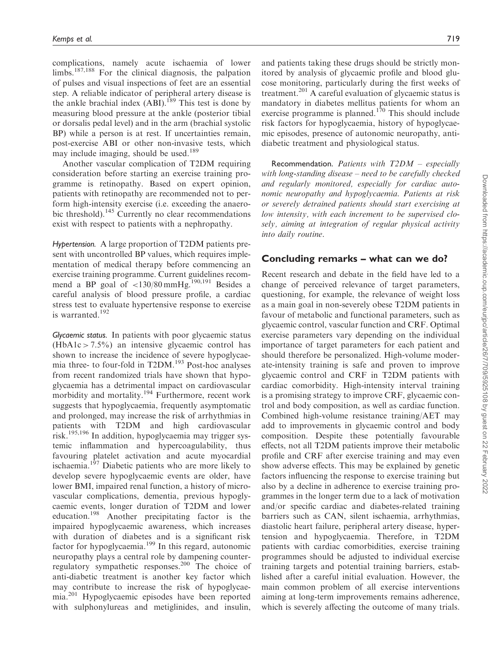complications, namely acute ischaemia of lower limbs.187,188 For the clinical diagnosis, the palpation of pulses and visual inspections of feet are an essential step. A reliable indicator of peripheral artery disease is the ankle brachial index  $(ABI)$ .<sup>189</sup> This test is done by measuring blood pressure at the ankle (posterior tibial or dorsalis pedal level) and in the arm (brachial systolic BP) while a person is at rest. If uncertainties remain, post-exercise ABI or other non-invasive tests, which may include imaging, should be used.<sup>189</sup>

Another vascular complication of T2DM requiring consideration before starting an exercise training programme is retinopathy. Based on expert opinion, patients with retinopathy are recommended not to perform high-intensity exercise (i.e. exceeding the anaerobic threshold).<sup>145</sup> Currently no clear recommendations exist with respect to patients with a nephropathy.

Hypertension. A large proportion of T2DM patients present with uncontrolled BP values, which requires implementation of medical therapy before commencing an exercise training programme. Current guidelines recommend a BP goal of  $\langle 130/80 \text{ mmHg}$ .<sup>190,191</sup> Besides a careful analysis of blood pressure profile, a cardiac stress test to evaluate hypertensive response to exercise is warranted.<sup>192</sup>

Glycaemic status. In patients with poor glycaemic status  $(HbA1c > 7.5\%)$  an intensive glycaemic control has shown to increase the incidence of severe hypoglycaemia three- to four-fold in T2DM.<sup>193</sup> Post-hoc analyses from recent randomized trials have shown that hypoglycaemia has a detrimental impact on cardiovascular morbidity and mortality.<sup>194</sup> Furthermore, recent work suggests that hypoglycaemia, frequently asymptomatic and prolonged, may increase the risk of arrhythmias in patients with T2DM and high cardiovascular risk.195,196 In addition, hypoglycaemia may trigger systemic inflammation and hypercoagulability, thus favouring platelet activation and acute myocardial ischaemia.<sup>197</sup> Diabetic patients who are more likely to develop severe hypoglycaemic events are older, have lower BMI, impaired renal function, a history of microvascular complications, dementia, previous hypoglycaemic events, longer duration of T2DM and lower education.<sup>198</sup> Another precipitating factor is the impaired hypoglycaemic awareness, which increases with duration of diabetes and is a significant risk factor for hypoglycaemia.<sup>199</sup> In this regard, autonomic neuropathy plays a central role by dampening counterregulatory sympathetic responses.<sup>200</sup> The choice of anti-diabetic treatment is another key factor which may contribute to increase the risk of hypoglycaemia.<sup>201</sup> Hypoglycaemic episodes have been reported with sulphonylureas and metiglinides, and insulin, and patients taking these drugs should be strictly monitored by analysis of glycaemic profile and blood glucose monitoring, particularly during the first weeks of treatment.<sup>201</sup> A careful evaluation of glycaemic status is mandatory in diabetes mellitus patients for whom an exercise programme is planned.<sup>170</sup> This should include risk factors for hypoglycaemia, history of hypoglycaemic episodes, presence of autonomic neuropathy, antidiabetic treatment and physiological status.

Recommendation. Patients with  $T2DM - especially$ with long-standing disease – need to be carefully checked and regularly monitored, especially for cardiac autonomic neuropathy and hypoglycaemia. Patients at risk or severely detrained patients should start exercising at low intensity, with each increment to be supervised closely, aiming at integration of regular physical activity into daily routine.

### Concluding remarks – what can we do?

Recent research and debate in the field have led to a change of perceived relevance of target parameters, questioning, for example, the relevance of weight loss as a main goal in non-severely obese T2DM patients in favour of metabolic and functional parameters, such as glycaemic control, vascular function and CRF. Optimal exercise parameters vary depending on the individual importance of target parameters for each patient and should therefore be personalized. High-volume moderate-intensity training is safe and proven to improve glycaemic control and CRF in T2DM patients with cardiac comorbidity. High-intensity interval training is a promising strategy to improve CRF, glycaemic control and body composition, as well as cardiac function. Combined high-volume resistance training/AET may add to improvements in glycaemic control and body composition. Despite these potentially favourable effects, not all T2DM patients improve their metabolic profile and CRF after exercise training and may even show adverse effects. This may be explained by genetic factors influencing the response to exercise training but also by a decline in adherence to exercise training programmes in the longer term due to a lack of motivation and/or specific cardiac and diabetes-related training barriers such as CAN, silent ischaemia, arrhythmias, diastolic heart failure, peripheral artery disease, hypertension and hypoglycaemia. Therefore, in T2DM patients with cardiac comorbidities, exercise training programmes should be adjusted to individual exercise training targets and potential training barriers, established after a careful initial evaluation. However, the main common problem of all exercise interventions aiming at long-term improvements remains adherence, which is severely affecting the outcome of many trials.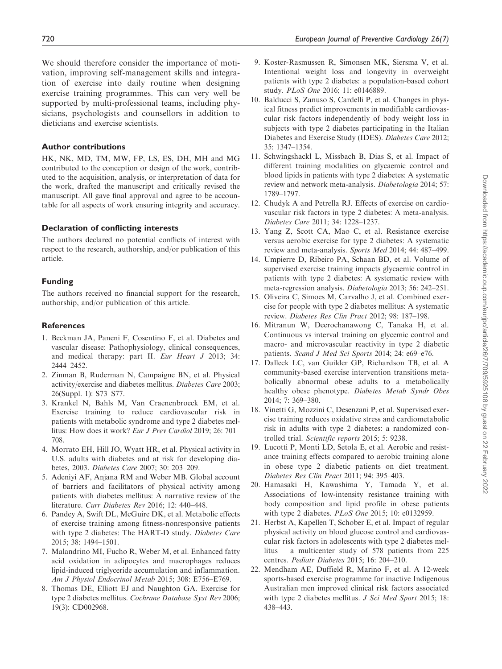We should therefore consider the importance of motivation, improving self-management skills and integration of exercise into daily routine when designing exercise training programmes. This can very well be supported by multi-professional teams, including physicians, psychologists and counsellors in addition to dieticians and exercise scientists.

### Author contributions

HK, NK, MD, TM, MW, FP, LS, ES, DH, MH and MG contributed to the conception or design of the work, contributed to the acquisition, analysis, or interpretation of data for the work, drafted the manuscript and critically revised the manuscript. All gave final approval and agree to be accountable for all aspects of work ensuring integrity and accuracy.

## Declaration of conflicting interests

The authors declared no potential conflicts of interest with respect to the research, authorship, and/or publication of this article.

## Funding

The authors received no financial support for the research, authorship, and/or publication of this article.

### **References**

- 1. Beckman JA, Paneni F, Cosentino F, et al. Diabetes and vascular disease: Pathophysiology, clinical consequences, and medical therapy: part II. Eur Heart J 2013; 34: 2444–2452.
- 2. Zinman B, Ruderman N, Campaigne BN, et al. Physical activity/exercise and diabetes mellitus. Diabetes Care 2003; 26(Suppl. 1): S73–S77.
- 3. Krankel N, Bahls M, Van Craenenbroeck EM, et al. Exercise training to reduce cardiovascular risk in patients with metabolic syndrome and type 2 diabetes mellitus: How does it work? Eur J Prev Cardiol 2019; 26: 701– 708.
- 4. Morrato EH, Hill JO, Wyatt HR, et al. Physical activity in U.S. adults with diabetes and at risk for developing diabetes, 2003. Diabetes Care 2007; 30: 203–209.
- 5. Adeniyi AF, Anjana RM and Weber MB. Global account of barriers and facilitators of physical activity among patients with diabetes mellitus: A narrative review of the literature. Curr Diabetes Rev 2016; 12: 440-448.
- 6. Pandey A, Swift DL, McGuire DK, et al. Metabolic effects of exercise training among fitness-nonresponsive patients with type 2 diabetes: The HART-D study. Diabetes Care 2015; 38: 1494–1501.
- 7. Malandrino MI, Fucho R, Weber M, et al. Enhanced fatty acid oxidation in adipocytes and macrophages reduces lipid-induced triglyceride accumulation and inflammation. Am J Physiol Endocrinol Metab 2015; 308: E756–E769.
- 8. Thomas DE, Elliott EJ and Naughton GA. Exercise for type 2 diabetes mellitus. Cochrane Database Syst Rev 2006; 19(3): CD002968.
- 9. Koster-Rasmussen R, Simonsen MK, Siersma V, et al. Intentional weight loss and longevity in overweight patients with type 2 diabetes: a population-based cohort study. PLoS One 2016; 11: e0146889.
- 10. Balducci S, Zanuso S, Cardelli P, et al. Changes in physical fitness predict improvements in modifiable cardiovascular risk factors independently of body weight loss in subjects with type 2 diabetes participating in the Italian Diabetes and Exercise Study (IDES). Diabetes Care 2012; 35: 1347–1354.
- 11. Schwingshackl L, Missbach B, Dias S, et al. Impact of different training modalities on glycaemic control and blood lipids in patients with type 2 diabetes: A systematic review and network meta-analysis. Diabetologia 2014; 57: 1789–1797.
- 12. Chudyk A and Petrella RJ. Effects of exercise on cardiovascular risk factors in type 2 diabetes: A meta-analysis. Diabetes Care 2011; 34: 1228–1237.
- 13. Yang Z, Scott CA, Mao C, et al. Resistance exercise versus aerobic exercise for type 2 diabetes: A systematic review and meta-analysis. Sports Med 2014; 44: 487–499.
- 14. Umpierre D, Ribeiro PA, Schaan BD, et al. Volume of supervised exercise training impacts glycaemic control in patients with type 2 diabetes: A systematic review with meta-regression analysis. Diabetologia 2013; 56: 242–251.
- 15. Oliveira C, Simoes M, Carvalho J, et al. Combined exercise for people with type 2 diabetes mellitus: A systematic review. Diabetes Res Clin Pract 2012; 98: 187–198.
- 16. Mitranun W, Deerochanawong C, Tanaka H, et al. Continuous vs interval training on glycemic control and macro- and microvascular reactivity in type 2 diabetic patients. Scand J Med Sci Sports 2014; 24: e69–e76.
- 17. Dalleck LC, van Guilder GP, Richardson TB, et al. A community-based exercise intervention transitions metabolically abnormal obese adults to a metabolically healthy obese phenotype. Diabetes Metab Syndr Obes 2014; 7: 369–380.
- 18. Vinetti G, Mozzini C, Desenzani P, et al. Supervised exercise training reduces oxidative stress and cardiometabolic risk in adults with type 2 diabetes: a randomized controlled trial. Scientific reports 2015; 5: 9238.
- 19. Lucotti P, Monti LD, Setola E, et al. Aerobic and resistance training effects compared to aerobic training alone in obese type 2 diabetic patients on diet treatment. Diabetes Res Clin Pract 2011; 94: 395–403.
- 20. Hamasaki H, Kawashima Y, Tamada Y, et al. Associations of low-intensity resistance training with body composition and lipid profile in obese patients with type 2 diabetes. PLoS One 2015; 10: e0132959.
- 21. Herbst A, Kapellen T, Schober E, et al. Impact of regular physical activity on blood glucose control and cardiovascular risk factors in adolescents with type 2 diabetes mellitus – a multicenter study of 578 patients from 225 centres. Pediatr Diabetes 2015; 16: 204–210.
- 22. Mendham AE, Duffield R, Marino F, et al. A 12-week sports-based exercise programme for inactive Indigenous Australian men improved clinical risk factors associated with type 2 diabetes mellitus. J Sci Med Sport 2015; 18: 438–443.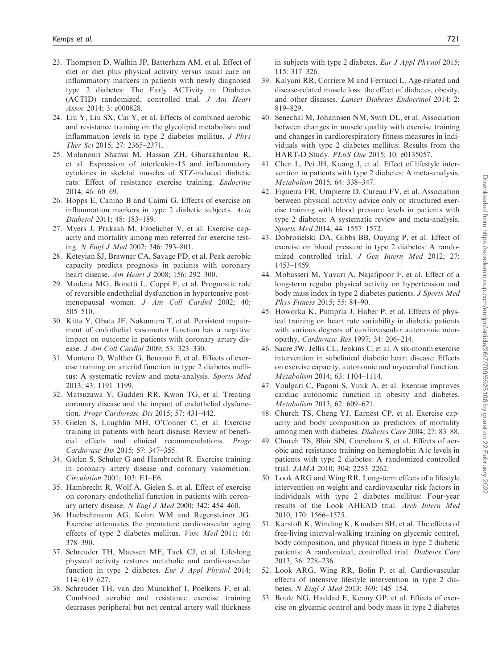- 23. Thompson D, Walhin JP, Batterham AM, et al. Effect of diet or diet plus physical activity versus usual care on inflammatory markers in patients with newly diagnosed type 2 diabetes: The Early ACTivity in Diabetes (ACTID) randomized, controlled trial. J Am Heart Assoc 2014; 3: e000828.
- 24. Liu Y, Liu SX, Cai Y, et al. Effects of combined aerobic and resistance training on the glycolipid metabolism and inflammation levels in type 2 diabetes mellitus. J Phys Ther Sci 2015; 27: 2365–2371.
- 25. Molanouri Shamsi M, Hassan ZH, Gharakhanlou R, et al. Expression of interleukin-15 and inflammatory cytokines in skeletal muscles of STZ-induced diabetic rats: Effect of resistance exercise training. Endocrine 2014; 46: 60–69.
- 26. Hopps E, Canino B and Caimi G. Effects of exercise on inflammation markers in type 2 diabetic subjects. Acta Diabetol 2011; 48: 183–189.
- 27. Myers J, Prakash M, Froelicher V, et al. Exercise capacity and mortality among men referred for exercise testing. N Engl J Med 2002; 346: 793–801.
- 28. Keteyian SJ, Brawner CA, Savage PD, et al. Peak aerobic capacity predicts prognosis in patients with coronary heart disease. Am Heart J 2008; 156: 292–300.
- 29. Modena MG, Bonetti L, Coppi F, et al. Prognostic role of reversible endothelial dysfunction in hypertensive postmenopausal women. J Am Coll Cardiol 2002; 40: 505–510.
- 30. Kitta Y, Obata JE, Nakamura T, et al. Persistent impairment of endothelial vasomotor function has a negative impact on outcome in patients with coronary artery disease. J Am Coll Cardiol 2009; 53: 323–330.
- 31. Montero D, Walther G, Benamo E, et al. Effects of exercise training on arterial function in type 2 diabetes mellitus: A systematic review and meta-analysis. Sports Med 2013; 43: 1191–1199.
- 32. Matsuzawa Y, Guddeti RR, Kwon TG, et al. Treating coronary disease and the impact of endothelial dysfunction. Progr Cardiovasc Dis 2015; 57: 431–442.
- 33. Gielen S, Laughlin MH, O'Conner C, et al. Exercise training in patients with heart disease: Review of beneficial effects and clinical recommendations. Progr Cardiovasc Dis 2015; 57: 347–355.
- 34. Gielen S, Schuler G and Hambrecht R. Exercise training in coronary artery disease and coronary vasomotion. Circulation 2001; 103: E1–E6.
- 35. Hambrecht R, Wolf A, Gielen S, et al. Effect of exercise on coronary endothelial function in patients with coronary artery disease. N Engl J Med 2000; 342: 454–460.
- 36. Huebschmann AG, Kohrt WM and Regensteiner JG. Exercise attenuates the premature cardiovascular aging effects of type 2 diabetes mellitus. Vasc Med 2011; 16: 378–390.
- 37. Schreuder TH, Maessen MF, Tack CJ, et al. Life-long physical activity restores metabolic and cardiovascular function in type 2 diabetes. Eur J Appl Physiol 2014; 114: 619–627.
- 38. Schreuder TH, van den Munckhof I, Poelkens F, et al. Combined aerobic and resistance exercise training decreases peripheral but not central artery wall thickness

in subjects with type 2 diabetes. Eur J Appl Physiol 2015; 115: 317–326.

- 39. Kalyani RR, Corriere M and Ferrucci L. Age-related and disease-related muscle loss: the effect of diabetes, obesity, and other diseases. Lancet Diabetes Endocrinol 2014; 2: 819–829.
- 40. Senechal M, Johannsen NM, Swift DL, et al. Association between changes in muscle quality with exercise training and changes in cardiorespiratory fitness measures in individuals with type 2 diabetes mellitus: Results from the HART-D Study. PLoS One 2015; 10: e0135057.
- 41. Chen L, Pei JH, Kuang J, et al. Effect of lifestyle intervention in patients with type 2 diabetes: A meta-analysis. Metabolism 2015; 64: 338–347.
- 42. Figueira FR, Umpierre D, Cureau FV, et al. Association between physical activity advice only or structured exercise training with blood pressure levels in patients with type 2 diabetes: A systematic review and meta-analysis. Sports Med 2014; 44: 1557–1572.
- 43. Dobrosielski DA, Gibbs BB, Ouyang P, et al. Effect of exercise on blood pressure in type 2 diabetes: A randomized controlled trial. J Gen Intern Med 2012; 27: 1453–1459.
- 44. Mobasseri M, Yavari A, Najafipoor F, et al. Effect of a long-term regular physical activity on hypertension and body mass index in type 2 diabetes patients. J Sports Med Phys Fitness 2015; 55: 84–90.
- 45. Howorka K, Pumprla J, Haber P, et al. Effects of physical training on heart rate variability in diabetic patients with various degrees of cardiovascular autonomic neuropathy. Cardiovasc Res 1997; 34: 206–214.
- 46. Sacre JW, Jellis CL, Jenkins C, et al. A six-month exercise intervention in subclinical diabetic heart disease: Effects on exercise capacity, autonomic and myocardial function. Metabolism 2014; 63: 1104–1114.
- 47. Voulgari C, Pagoni S, Vinik A, et al. Exercise improves cardiac autonomic function in obesity and diabetes. Metabolism 2013; 62: 609–621.
- 48. Church TS, Cheng YJ, Earnest CP, et al. Exercise capacity and body composition as predictors of mortality among men with diabetes. Diabetes Care 2004; 27: 83–88.
- 49. Church TS, Blair SN, Cocreham S, et al. Effects of aerobic and resistance training on hemoglobin A1c levels in patients with type 2 diabetes: A randomized controlled trial. JAMA 2010; 304: 2253–2262.
- 50. Look ARG and Wing RR. Long-term effects of a lifestyle intervention on weight and cardiovascular risk factors in individuals with type 2 diabetes mellitus: Four-year results of the Look AHEAD trial. Arch Intern Med 2010; 170: 1566–1575.
- 51. Karstoft K, Winding K, Knudsen SH, et al. The effects of free-living interval-walking training on glycemic control, body composition, and physical fitness in type 2 diabetic patients: A randomized, controlled trial. Diabetes Care 2013; 36: 228–236.
- 52. Look ARG, Wing RR, Bolin P, et al. Cardiovascular effects of intensive lifestyle intervention in type 2 diabetes. N Engl J Med 2013; 369: 145–154.
- 53. Boule NG, Haddad E, Kenny GP, et al. Effects of exercise on glycemic control and body mass in type 2 diabetes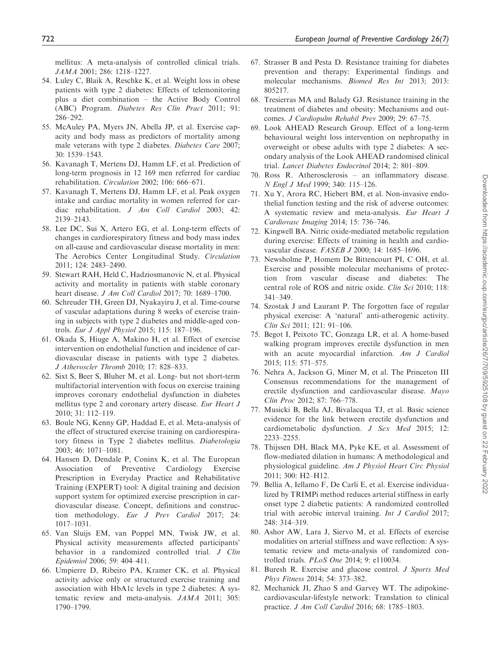mellitus: A meta-analysis of controlled clinical trials. JAMA 2001; 286: 1218–1227.

- 54. Luley C, Blaik A, Reschke K, et al. Weight loss in obese patients with type 2 diabetes: Effects of telemonitoring plus a diet combination – the Active Body Control (ABC) Program. Diabetes Res Clin Pract 2011; 91: 286–292.
- 55. McAuley PA, Myers JN, Abella JP, et al. Exercise capacity and body mass as predictors of mortality among male veterans with type 2 diabetes. Diabetes Care 2007; 30: 1539–1543.
- 56. Kavanagh T, Mertens DJ, Hamm LF, et al. Prediction of long-term prognosis in 12 169 men referred for cardiac rehabilitation. Circulation 2002; 106: 666–671.
- 57. Kavanagh T, Mertens DJ, Hamm LF, et al. Peak oxygen intake and cardiac mortality in women referred for cardiac rehabilitation. J Am Coll Cardiol 2003; 42: 2139–2143.
- 58. Lee DC, Sui X, Artero EG, et al. Long-term effects of changes in cardiorespiratory fitness and body mass index on all-cause and cardiovascular disease mortality in men: The Aerobics Center Longitudinal Study. Circulation 2011; 124: 2483–2490.
- 59. Stewart RAH, Held C, Hadziosmanovic N, et al. Physical activity and mortality in patients with stable coronary heart disease. J Am Coll Cardiol 2017; 70: 1689–1700.
- 60. Schreuder TH, Green DJ, Nyakayiru J, et al. Time-course of vascular adaptations during 8 weeks of exercise training in subjects with type 2 diabetes and middle-aged controls. Eur J Appl Physiol 2015; 115: 187–196.
- 61. Okada S, Hiuge A, Makino H, et al. Effect of exercise intervention on endothelial function and incidence of cardiovascular disease in patients with type 2 diabetes. J Atheroscler Thromb 2010; 17: 828–833.
- 62. Sixt S, Beer S, Bluher M, et al. Long- but not short-term multifactorial intervention with focus on exercise training improves coronary endothelial dysfunction in diabetes mellitus type 2 and coronary artery disease. Eur Heart J 2010; 31: 112–119.
- 63. Boule NG, Kenny GP, Haddad E, et al. Meta-analysis of the effect of structured exercise training on cardiorespiratory fitness in Type 2 diabetes mellitus. Diabetologia 2003; 46: 1071–1081.
- 64. Hansen D, Dendale P, Coninx K, et al. The European Association of Preventive Cardiology Exercise Prescription in Everyday Practice and Rehabilitative Training (EXPERT) tool: A digital training and decision support system for optimized exercise prescription in cardiovascular disease. Concept, definitions and construction methodology. Eur J Prev Cardiol 2017; 24: 1017–1031.
- 65. Van Sluijs EM, van Poppel MN, Twisk JW, et al. Physical activity measurements affected participants' behavior in a randomized controlled trial. J Clin Epidemiol 2006; 59: 404–411.
- 66. Umpierre D, Ribeiro PA, Kramer CK, et al. Physical activity advice only or structured exercise training and association with HbA1c levels in type 2 diabetes: A systematic review and meta-analysis. JAMA 2011; 305: 1790–1799.
- 67. Strasser B and Pesta D. Resistance training for diabetes prevention and therapy: Experimental findings and molecular mechanisms. Biomed Res Int 2013; 2013: 805217.
- 68. Tresierras MA and Balady GJ. Resistance training in the treatment of diabetes and obesity: Mechanisms and outcomes. J Cardiopulm Rehabil Prev 2009; 29: 67–75.
- 69. Look AHEAD Research Group. Effect of a long-term behavioural weight loss intervention on nephropathy in overweight or obese adults with type 2 diabetes: A secondary analysis of the Look AHEAD randomised clinical trial. Lancet Diabetes Endocrinol 2014; 2: 801–809.
- 70. Ross R. Atherosclerosis an inflammatory disease. N Engl J Med 1999; 340: 115–126.
- 71. Xu Y, Arora RC, Hiebert BM, et al. Non-invasive endothelial function testing and the risk of adverse outcomes: A systematic review and meta-analysis. Eur Heart J Cardiovasc Imaging 2014; 15: 736–746.
- 72. Kingwell BA. Nitric oxide-mediated metabolic regulation during exercise: Effects of training in health and cardiovascular disease. FASEB J 2000; 14: 1685–1696.
- 73. Newsholme P, Homem De Bittencourt PI, C OH, et al. Exercise and possible molecular mechanisms of protection from vascular disease and diabetes: The central role of ROS and nitric oxide. Clin Sci 2010; 118: 341–349.
- 74. Szostak J and Laurant P. The forgotten face of regular physical exercise: A 'natural' anti-atherogenic activity. Clin Sci 2011; 121: 91–106.
- 75. Begot I, Peixoto TC, Gonzaga LR, et al. A home-based walking program improves erectile dysfunction in men with an acute myocardial infarction. Am J Cardiol 2015; 115: 571–575.
- 76. Nehra A, Jackson G, Miner M, et al. The Princeton III Consensus recommendations for the management of erectile dysfunction and cardiovascular disease. Mayo Clin Proc 2012; 87: 766–778.
- 77. Musicki B, Bella AJ, Bivalacqua TJ, et al. Basic science evidence for the link between erectile dysfunction and cardiometabolic dysfunction. J Sex Med 2015; 12: 2233–2255.
- 78. Thijssen DH, Black MA, Pyke KE, et al. Assessment of flow-mediated dilation in humans: A methodological and physiological guideline. Am J Physiol Heart Circ Physiol 2011; 300: H2–H12.
- 79. Bellia A, Iellamo F, De Carli E, et al. Exercise individualized by TRIMPi method reduces arterial stiffness in early onset type 2 diabetic patients: A randomized controlled trial with aerobic interval training. Int J Cardiol 2017; 248: 314–319.
- 80. Ashor AW, Lara J, Siervo M, et al. Effects of exercise modalities on arterial stiffness and wave reflection: A systematic review and meta-analysis of randomized controlled trials. PLoS One 2014; 9: e110034.
- 81. Buresh R. Exercise and glucose control. J Sports Med Phys Fitness 2014; 54: 373–382.
- 82. Mechanick JI, Zhao S and Garvey WT. The adipokinecardiovascular-lifestyle network: Translation to clinical practice. J Am Coll Cardiol 2016; 68: 1785–1803.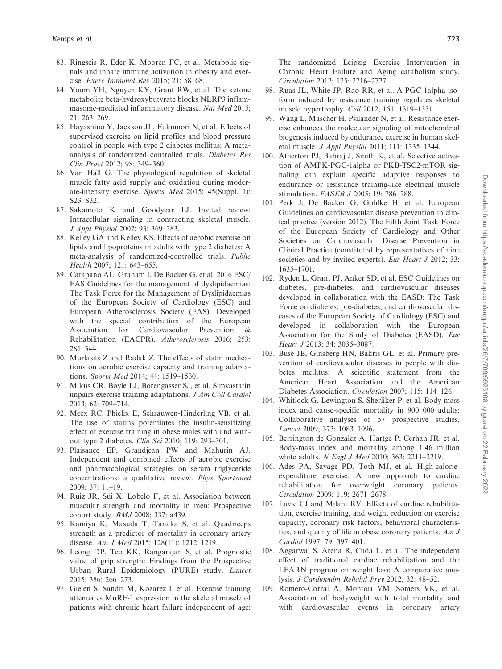- 83. Ringseis R, Eder K, Mooren FC, et al. Metabolic signals and innate immune activation in obesity and exercise. Exerc Immunol Rev 2015; 21: 58–68.
- 84. Youm YH, Nguyen KY, Grant RW, et al. The ketone metabolite beta-hydroxybutyrate blocks NLRP3 inflammasome-mediated inflammatory disease. Nat Med 2015; 21: 263–269.
- 85. Hayashino Y, Jackson JL, Fukumori N, et al. Effects of supervised exercise on lipid profiles and blood pressure control in people with type 2 diabetes mellitus: A metaanalysis of randomized controlled trials. Diabetes Res Clin Pract 2012; 98: 349–360.
- 86. Van Hall G. The physiological regulation of skeletal muscle fatty acid supply and oxidation during moderate-intensity exercise. Sports Med 2015; 45(Suppl. 1): S23–S32.
- 87. Sakamoto K and Goodyear LJ. Invited review: Intracellular signaling in contracting skeletal muscle. J Appl Physiol 2002; 93: 369–383.
- 88. Kelley GA and Kelley KS. Effects of aerobic exercise on lipids and lipoproteins in adults with type 2 diabetes: A meta-analysis of randomized-controlled trials. Public Health 2007; 121: 643–655.
- 89. Catapano AL, Graham I, De Backer G, et al. 2016 ESC/ EAS Guidelines for the management of dyslipidaemias: The Task Force for the Management of Dyslipidaemias of the European Society of Cardiology (ESC) and European Atherosclerosis Society (EAS). Developed with the special contribution of the European Association for Cardiovascular Prevention & Rehabilitation (EACPR). Atherosclerosis 2016; 253: 281–344.
- 90. Murlasits Z and Radak Z. The effects of statin medications on aerobic exercise capacity and training adaptations. Sports Med 2014; 44: 1519–1530.
- 91. Mikus CR, Boyle LJ, Borengasser SJ, et al. Simvastatin impairs exercise training adaptations. J Am Coll Cardiol 2013; 62: 709–714.
- 92. Meex RC, Phielix E, Schrauwen-Hinderling VB, et al. The use of statins potentiates the insulin-sensitizing effect of exercise training in obese males with and without type 2 diabetes. Clin Sci 2010; 119: 293–301.
- 93. Plaisance EP, Grandjean PW and Mahurin AJ. Independent and combined effects of aerobic exercise and pharmacological strategies on serum triglyceride concentrations: a qualitative review. Phys Sportsmed 2009; 37: 11–19.
- 94. Ruiz JR, Sui X, Lobelo F, et al. Association between muscular strength and mortality in men: Prospective cohort study. BMJ 2008; 337: a439.
- 95. Kamiya K, Masuda T, Tanaka S, et al. Quadriceps strength as a predictor of mortality in coronary artery disease. Am J Med 2015; 128(11): 1212–1219.
- 96. Leong DP, Teo KK, Rangarajan S, et al. Prognostic value of grip strength: Findings from the Prospective Urban Rural Epidemiology (PURE) study. Lancet 2015; 386: 266–273.
- 97. Gielen S, Sandri M, Kozarez I, et al. Exercise training attenuates MuRF-1 expression in the skeletal muscle of patients with chronic heart failure independent of age:

The randomized Leipzig Exercise Intervention in Chronic Heart Failure and Aging catabolism study. Circulation 2012; 125: 2716–2727.

- 98. Ruas JL, White JP, Rao RR, et al. A PGC-1alpha isoform induced by resistance training regulates skeletal muscle hypertrophy. Cell 2012; 151: 1319–1331.
- 99. Wang L, Mascher H, Psilander N, et al. Resistance exercise enhances the molecular signaling of mitochondrial biogenesis induced by endurance exercise in human skeletal muscle. J Appl Physiol 2011; 111: 1335–1344.
- 100. Atherton PJ, Babraj J, Smith K, et al. Selective activation of AMPK-PGC-1alpha or PKB-TSC2-mTOR signaling can explain specific adaptive responses to endurance or resistance training-like electrical muscle stimulation. FASEB J 2005; 19: 786–788.
- 101. Perk J, De Backer G, Gohlke H, et al. European Guidelines on cardiovascular disease prevention in clinical practice (version 2012). The Fifth Joint Task Force of the European Society of Cardiology and Other Societies on Cardiovascular Disease Prevention in Clinical Practice (constituted by representatives of nine societies and by invited experts). Eur Heart J 2012; 33: 1635–1701.
- 102. Ryden L, Grant PJ, Anker SD, et al. ESC Guidelines on diabetes, pre-diabetes, and cardiovascular diseases developed in collaboration with the EASD: The Task Force on diabetes, pre-diabetes, and cardiovascular diseases of the European Society of Cardiology (ESC) and developed in collaboration with the European Association for the Study of Diabetes (EASD). Eur Heart J 2013; 34: 3035–3087.
- 103. Buse JB, Ginsberg HN, Bakris GL, et al. Primary prevention of cardiovascular diseases in people with diabetes mellitus: A scientific statement from the American Heart Association and the American Diabetes Association. Circulation 2007; 115: 114–126.
- 104. Whitlock G, Lewington S, Sherliker P, et al. Body-mass index and cause-specific mortality in 900 000 adults: Collaborative analyses of 57 prospective studies. Lancet 2009; 373: 1083–1096.
- 105. Berrington de Gonzalez A, Hartge P, Cerhan JR, et al. Body-mass index and mortality among 1.46 million white adults. *N Engl J Med* 2010; 363: 2211–2219.
- 106. Ades PA, Savage PD, Toth MJ, et al. High-calorieexpenditure exercise: A new approach to cardiac rehabilitation for overweight coronary patients. Circulation 2009; 119: 2671–2678.
- 107. Lavie CJ and Milani RV. Effects of cardiac rehabilitation, exercise training, and weight reduction on exercise capacity, coronary risk factors, behavioral characteristics, and quality of life in obese coronary patients. Am J Cardiol 1997; 79: 397–401.
- 108. Aggarwal S, Arena R, Cuda L, et al. The independent effect of traditional cardiac rehabilitation and the LEARN program on weight loss: A comparative analysis. J Cardiopulm Rehabil Prev 2012; 32: 48–52.
- 109. Romero-Corral A, Montori VM, Somers VK, et al. Association of bodyweight with total mortality and with cardiovascular events in coronary artery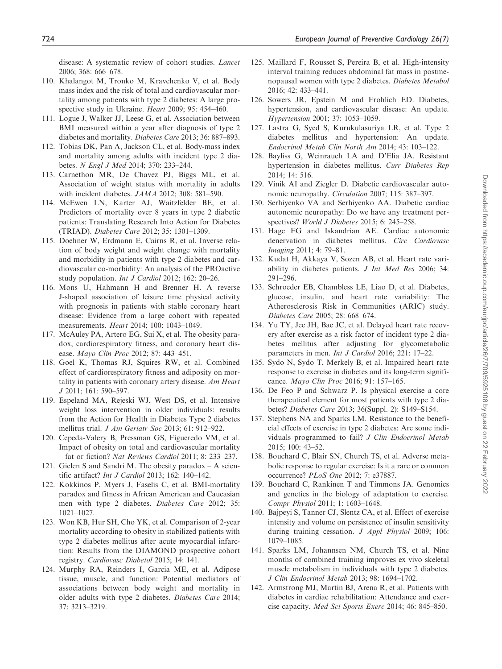disease: A systematic review of cohort studies. Lancet 2006; 368: 666–678.

- 110. Khalangot M, Tronko M, Kravchenko V, et al. Body mass index and the risk of total and cardiovascular mortality among patients with type 2 diabetes: A large prospective study in Ukraine. Heart 2009; 95: 454–460.
- 111. Logue J, Walker JJ, Leese G, et al. Association between BMI measured within a year after diagnosis of type 2 diabetes and mortality. Diabetes Care 2013; 36: 887–893.
- 112. Tobias DK, Pan A, Jackson CL, et al. Body-mass index and mortality among adults with incident type 2 diabetes. N Engl J Med 2014; 370: 233–244.
- 113. Carnethon MR, De Chavez PJ, Biggs ML, et al. Association of weight status with mortality in adults with incident diabetes. JAMA 2012; 308: 581–590.
- 114. McEwen LN, Karter AJ, Waitzfelder BE, et al. Predictors of mortality over 8 years in type 2 diabetic patients: Translating Research Into Action for Diabetes (TRIAD). Diabetes Care 2012; 35: 1301–1309.
- 115. Doehner W, Erdmann E, Cairns R, et al. Inverse relation of body weight and weight change with mortality and morbidity in patients with type 2 diabetes and cardiovascular co-morbidity: An analysis of the PROactive study population. Int J Cardiol 2012; 162: 20–26.
- 116. Mons U, Hahmann H and Brenner H. A reverse J-shaped association of leisure time physical activity with prognosis in patients with stable coronary heart disease: Evidence from a large cohort with repeated measurements. Heart 2014; 100: 1043–1049.
- 117. McAuley PA, Artero EG, Sui X, et al. The obesity paradox, cardiorespiratory fitness, and coronary heart disease. Mayo Clin Proc 2012; 87: 443–451.
- 118. Goel K, Thomas RJ, Squires RW, et al. Combined effect of cardiorespiratory fitness and adiposity on mortality in patients with coronary artery disease. Am Heart J 2011; 161: 590–597.
- 119. Espeland MA, Rejeski WJ, West DS, et al. Intensive weight loss intervention in older individuals: results from the Action for Health in Diabetes Type 2 diabetes mellitus trial. J Am Geriatr Soc 2013; 61: 912–922.
- 120. Cepeda-Valery B, Pressman GS, Figueredo VM, et al. Impact of obesity on total and cardiovascular mortality – fat or fiction? Nat Reviews Cardiol 2011; 8: 233–237.
- 121. Gielen S and Sandri M. The obesity paradox A scientific artifact? Int J Cardiol 2013; 162: 140–142.
- 122. Kokkinos P, Myers J, Faselis C, et al. BMI-mortality paradox and fitness in African American and Caucasian men with type 2 diabetes. Diabetes Care 2012; 35: 1021–1027.
- 123. Won KB, Hur SH, Cho YK, et al. Comparison of 2-year mortality according to obesity in stabilized patients with type 2 diabetes mellitus after acute myocardial infarction: Results from the DIAMOND prospective cohort registry. Cardiovasc Diabetol 2015; 14: 141.
- 124. Murphy RA, Reinders I, Garcia ME, et al. Adipose tissue, muscle, and function: Potential mediators of associations between body weight and mortality in older adults with type 2 diabetes. Diabetes Care 2014; 37: 3213–3219.
- 125. Maillard F, Rousset S, Pereira B, et al. High-intensity interval training reduces abdominal fat mass in postmenopausal women with type 2 diabetes. Diabetes Metabol 2016; 42: 433–441.
- 126. Sowers JR, Epstein M and Frohlich ED. Diabetes, hypertension, and cardiovascular disease: An update. Hypertension 2001; 37: 1053–1059.
- 127. Lastra G, Syed S, Kurukulasuriya LR, et al. Type 2 diabetes mellitus and hypertension: An update. Endocrinol Metab Clin North Am 2014; 43: 103–122.
- 128. Bayliss G, Weinrauch LA and D'Elia JA. Resistant hypertension in diabetes mellitus. Curr Diabetes Rep 2014; 14: 516.
- 129. Vinik AI and Ziegler D. Diabetic cardiovascular autonomic neuropathy. Circulation 2007; 115: 387–397.
- 130. Serhiyenko VA and Serhiyenko AA. Diabetic cardiac autonomic neuropathy: Do we have any treatment perspectives? World J Diabetes 2015; 6: 245–258.
- 131. Hage FG and Iskandrian AE. Cardiac autonomic denervation in diabetes mellitus. Circ Cardiovasc Imaging 2011; 4: 79–81.
- 132. Kudat H, Akkaya V, Sozen AB, et al. Heart rate variability in diabetes patients. J Int Med Res 2006; 34: 291–296.
- 133. Schroeder EB, Chambless LE, Liao D, et al. Diabetes, glucose, insulin, and heart rate variability: The Atherosclerosis Risk in Communities (ARIC) study. Diabetes Care 2005; 28: 668–674.
- 134. Yu TY, Jee JH, Bae JC, et al. Delayed heart rate recovery after exercise as a risk factor of incident type 2 diabetes mellitus after adjusting for glycometabolic parameters in men. Int J Cardiol 2016; 221: 17–22.
- 135. Sydo N, Sydo T, Merkely B, et al. Impaired heart rate response to exercise in diabetes and its long-term significance. Mayo Clin Proc 2016; 91: 157–165.
- 136. De Feo P and Schwarz P. Is physical exercise a core therapeutical element for most patients with type 2 diabetes? Diabetes Care 2013; 36(Suppl. 2): S149–S154.
- 137. Stephens NA and Sparks LM. Resistance to the beneficial effects of exercise in type 2 diabetes: Are some individuals programmed to fail? J Clin Endocrinol Metab 2015; 100: 43–52.
- 138. Bouchard C, Blair SN, Church TS, et al. Adverse metabolic response to regular exercise: Is it a rare or common occurrence? PLoS One 2012; 7: e37887.
- 139. Bouchard C, Rankinen T and Timmons JA. Genomics and genetics in the biology of adaptation to exercise. Compr Physiol 2011; 1: 1603–1648.
- 140. Bajpeyi S, Tanner CJ, Slentz CA, et al. Effect of exercise intensity and volume on persistence of insulin sensitivity during training cessation. J Appl Physiol 2009; 106: 1079–1085.
- 141. Sparks LM, Johannsen NM, Church TS, et al. Nine months of combined training improves ex vivo skeletal muscle metabolism in individuals with type 2 diabetes. J Clin Endocrinol Metab 2013; 98: 1694–1702.
- 142. Armstrong MJ, Martin BJ, Arena R, et al. Patients with diabetes in cardiac rehabilitation: Attendance and exercise capacity. Med Sci Sports Exerc 2014; 46: 845–850.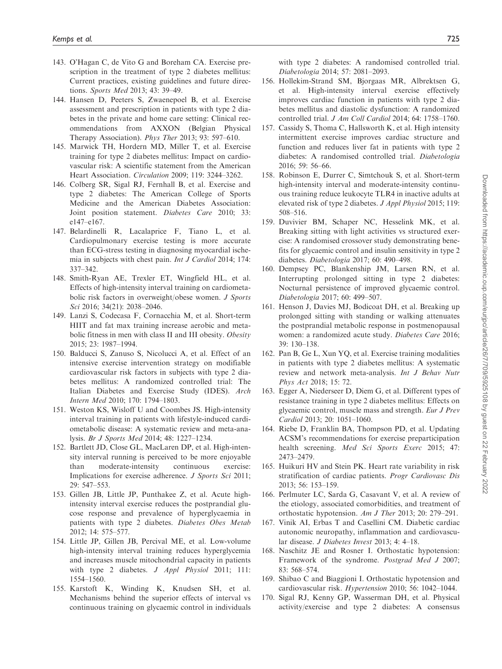- 143. O'Hagan C, de Vito G and Boreham CA. Exercise prescription in the treatment of type 2 diabetes mellitus: Current practices, existing guidelines and future directions. Sports Med 2013; 43: 39–49.
- 144. Hansen D, Peeters S, Zwaenepoel B, et al. Exercise assessment and prescription in patients with type 2 diabetes in the private and home care setting: Clinical recommendations from AXXON (Belgian Physical Therapy Association). Phys Ther 2013; 93: 597–610.
- 145. Marwick TH, Hordern MD, Miller T, et al. Exercise training for type 2 diabetes mellitus: Impact on cardiovascular risk: A scientific statement from the American Heart Association. Circulation 2009; 119: 3244–3262.
- 146. Colberg SR, Sigal RJ, Fernhall B, et al. Exercise and type 2 diabetes: The American College of Sports Medicine and the American Diabetes Association: Joint position statement. Diabetes Care 2010; 33: e147–e167.
- 147. Belardinelli R, Lacalaprice F, Tiano L, et al. Cardiopulmonary exercise testing is more accurate than ECG-stress testing in diagnosing myocardial ischemia in subjects with chest pain. Int J Cardiol 2014; 174: 337–342.
- 148. Smith-Ryan AE, Trexler ET, Wingfield HL, et al. Effects of high-intensity interval training on cardiometabolic risk factors in overweight/obese women. J Sports Sci 2016; 34(21): 2038–2046.
- 149. Lanzi S, Codecasa F, Cornacchia M, et al. Short-term HIIT and fat max training increase aerobic and metabolic fitness in men with class II and III obesity. Obesity 2015; 23: 1987–1994.
- 150. Balducci S, Zanuso S, Nicolucci A, et al. Effect of an intensive exercise intervention strategy on modifiable cardiovascular risk factors in subjects with type 2 diabetes mellitus: A randomized controlled trial: The Italian Diabetes and Exercise Study (IDES). Arch Intern Med 2010; 170: 1794–1803.
- 151. Weston KS, Wisloff U and Coombes JS. High-intensity interval training in patients with lifestyle-induced cardiometabolic disease: A systematic review and meta-analysis. Br J Sports Med 2014; 48: 1227–1234.
- 152. Bartlett JD, Close GL, MacLaren DP, et al. High-intensity interval running is perceived to be more enjoyable than moderate-intensity continuous exercise: Implications for exercise adherence. J Sports Sci 2011; 29: 547–553.
- 153. Gillen JB, Little JP, Punthakee Z, et al. Acute highintensity interval exercise reduces the postprandial glucose response and prevalence of hyperglycaemia in patients with type 2 diabetes. Diabetes Obes Metab 2012; 14: 575–577.
- 154. Little JP, Gillen JB, Percival ME, et al. Low-volume high-intensity interval training reduces hyperglycemia and increases muscle mitochondrial capacity in patients with type 2 diabetes. *J Appl Physiol* 2011; 111: 1554–1560.
- 155. Karstoft K, Winding K, Knudsen SH, et al. Mechanisms behind the superior effects of interval vs continuous training on glycaemic control in individuals

with type 2 diabetes: A randomised controlled trial. Diabetologia 2014; 57: 2081–2093.

- 156. Hollekim-Strand SM, Bjorgaas MR, Albrektsen G, et al. High-intensity interval exercise effectively improves cardiac function in patients with type 2 diabetes mellitus and diastolic dysfunction: A randomized controlled trial. J Am Coll Cardiol 2014; 64: 1758–1760.
- 157. Cassidy S, Thoma C, Hallsworth K, et al. High intensity intermittent exercise improves cardiac structure and function and reduces liver fat in patients with type 2 diabetes: A randomised controlled trial. Diabetologia 2016; 59: 56–66.
- 158. Robinson E, Durrer C, Simtchouk S, et al. Short-term high-intensity interval and moderate-intensity continuous training reduce leukocyte TLR4 in inactive adults at elevated risk of type 2 diabetes. J Appl Physiol 2015; 119: 508–516.
- 159. Duvivier BM, Schaper NC, Hesselink MK, et al. Breaking sitting with light activities vs structured exercise: A randomised crossover study demonstrating benefits for glycaemic control and insulin sensitivity in type 2 diabetes. Diabetologia 2017; 60: 490–498.
- 160. Dempsey PC, Blankenship JM, Larsen RN, et al. Interrupting prolonged sitting in type 2 diabetes: Nocturnal persistence of improved glycaemic control. Diabetologia 2017; 60: 499–507.
- 161. Henson J, Davies MJ, Bodicoat DH, et al. Breaking up prolonged sitting with standing or walking attenuates the postprandial metabolic response in postmenopausal women: a randomized acute study. Diabetes Care 2016; 39: 130–138.
- 162. Pan B, Ge L, Xun YQ, et al. Exercise training modalities in patients with type 2 diabetes mellitus: A systematic review and network meta-analysis. Int J Behav Nutr Phys Act 2018; 15: 72.
- 163. Egger A, Niederseer D, Diem G, et al. Different types of resistance training in type 2 diabetes mellitus: Effects on glycaemic control, muscle mass and strength. Eur J Prev Cardiol 2013; 20: 1051–1060.
- 164. Riebe D, Franklin BA, Thompson PD, et al. Updating ACSM's recommendations for exercise preparticipation health screening. Med Sci Sports Exerc 2015; 47: 2473–2479.
- 165. Huikuri HV and Stein PK. Heart rate variability in risk stratification of cardiac patients. Progr Cardiovasc Dis 2013; 56: 153–159.
- 166. Perlmuter LC, Sarda G, Casavant V, et al. A review of the etiology, associated comorbidities, and treatment of orthostatic hypotension. Am J Ther 2013; 20: 279–291.
- 167. Vinik AI, Erbas T and Casellini CM. Diabetic cardiac autonomic neuropathy, inflammation and cardiovascular disease. J Diabetes Invest 2013; 4: 4–18.
- 168. Naschitz JE and Rosner I. Orthostatic hypotension: Framework of the syndrome. Postgrad Med J 2007; 83: 568–574.
- 169. Shibao C and Biaggioni I. Orthostatic hypotension and cardiovascular risk. Hypertension 2010; 56: 1042–1044.
- 170. Sigal RJ, Kenny GP, Wasserman DH, et al. Physical activity/exercise and type 2 diabetes: A consensus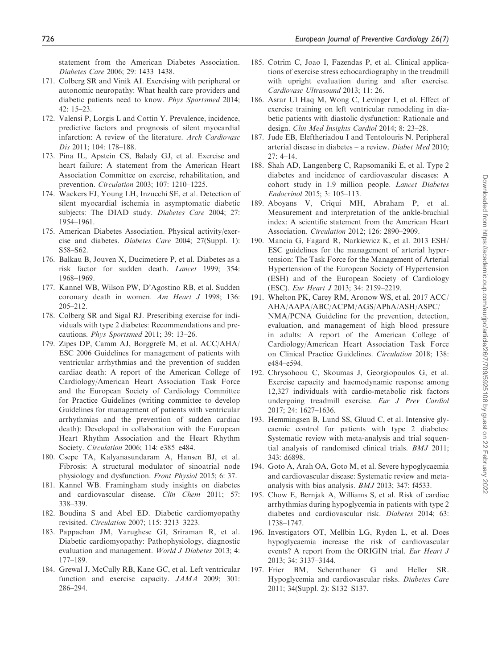statement from the American Diabetes Association. Diabetes Care 2006; 29: 1433–1438.

- 171. Colberg SR and Vinik AI. Exercising with peripheral or autonomic neuropathy: What health care providers and diabetic patients need to know. Phys Sportsmed 2014; 42: 15–23.
- 172. Valensi P, Lorgis L and Cottin Y. Prevalence, incidence, predictive factors and prognosis of silent myocardial infarction: A review of the literature. Arch Cardiovasc Dis 2011; 104: 178–188.
- 173. Pina IL, Apstein CS, Balady GJ, et al. Exercise and heart failure: A statement from the American Heart Association Committee on exercise, rehabilitation, and prevention. Circulation 2003; 107: 1210–1225.
- 174. Wackers FJ, Young LH, Inzucchi SE, et al. Detection of silent myocardial ischemia in asymptomatic diabetic subjects: The DIAD study. Diabetes Care 2004; 27: 1954–1961.
- 175. American Diabetes Association. Physical activity/exercise and diabetes. Diabetes Care 2004; 27(Suppl. 1): S58–S62.
- 176. Balkau B, Jouven X, Ducimetiere P, et al. Diabetes as a risk factor for sudden death. Lancet 1999; 354: 1968–1969.
- 177. Kannel WB, Wilson PW, D'Agostino RB, et al. Sudden coronary death in women. Am Heart J 1998; 136: 205–212.
- 178. Colberg SR and Sigal RJ. Prescribing exercise for individuals with type 2 diabetes: Recommendations and precautions. Phys Sportsmed 2011; 39: 13–26.
- 179. Zipes DP, Camm AJ, Borggrefe M, et al. ACC/AHA/ ESC 2006 Guidelines for management of patients with ventricular arrhythmias and the prevention of sudden cardiac death: A report of the American College of Cardiology/American Heart Association Task Force and the European Society of Cardiology Committee for Practice Guidelines (writing committee to develop Guidelines for management of patients with ventricular arrhythmias and the prevention of sudden cardiac death): Developed in collaboration with the European Heart Rhythm Association and the Heart Rhythm Society. Circulation 2006; 114: e385–e484.
- 180. Csepe TA, Kalyanasundaram A, Hansen BJ, et al. Fibrosis: A structural modulator of sinoatrial node physiology and dysfunction. Front Physiol 2015; 6: 37.
- 181. Kannel WB. Framingham study insights on diabetes and cardiovascular disease. Clin Chem 2011; 57: 338–339.
- 182. Boudina S and Abel ED. Diabetic cardiomyopathy revisited. Circulation 2007; 115: 3213–3223.
- 183. Pappachan JM, Varughese GI, Sriraman R, et al. Diabetic cardiomyopathy: Pathophysiology, diagnostic evaluation and management. World J Diabetes 2013; 4: 177–189.
- 184. Grewal J, McCully RB, Kane GC, et al. Left ventricular function and exercise capacity. JAMA 2009; 301: 286–294.
- 185. Cotrim C, Joao I, Fazendas P, et al. Clinical applications of exercise stress echocardiography in the treadmill with upright evaluation during and after exercise. Cardiovasc Ultrasound 2013; 11: 26.
- 186. Asrar Ul Haq M, Wong C, Levinger I, et al. Effect of exercise training on left ventricular remodeling in diabetic patients with diastolic dysfunction: Rationale and design. Clin Med Insights Cardiol 2014; 8: 23–28.
- 187. Jude EB, Eleftheriadou I and Tentolouris N. Peripheral arterial disease in diabetes – a review. Diabet Med 2010; 27: 4–14.
- 188. Shah AD, Langenberg C, Rapsomaniki E, et al. Type 2 diabetes and incidence of cardiovascular diseases: A cohort study in 1.9 million people. Lancet Diabetes Endocrinol 2015; 3: 105–113.
- 189. Aboyans V, Criqui MH, Abraham P, et al. Measurement and interpretation of the ankle-brachial index: A scientific statement from the American Heart Association. Circulation 2012; 126: 2890–2909.
- 190. Mancia G, Fagard R, Narkiewicz K, et al. 2013 ESH/ ESC guidelines for the management of arterial hypertension: The Task Force for the Management of Arterial Hypertension of the European Society of Hypertension (ESH) and of the European Society of Cardiology (ESC). Eur Heart J 2013; 34: 2159–2219.
- 191. Whelton PK, Carey RM, Aronow WS, et al. 2017 ACC/ AHA/AAPA/ABC/ACPM/AGS/APhA/ASH/ASPC/ NMA/PCNA Guideline for the prevention, detection, evaluation, and management of high blood pressure in adults: A report of the American College of Cardiology/American Heart Association Task Force on Clinical Practice Guidelines. Circulation 2018; 138: e484–e594.
- 192. Chrysohoou C, Skoumas J, Georgiopoulos G, et al. Exercise capacity and haemodynamic response among 12,327 individuals with cardio-metabolic risk factors undergoing treadmill exercise. Eur J Prev Cardiol 2017; 24: 1627–1636.
- 193. Hemmingsen B, Lund SS, Gluud C, et al. Intensive glycaemic control for patients with type 2 diabetes: Systematic review with meta-analysis and trial sequential analysis of randomised clinical trials. BMJ 2011; 343: d6898.
- 194. Goto A, Arah OA, Goto M, et al. Severe hypoglycaemia and cardiovascular disease: Systematic review and metaanalysis with bias analysis. BMJ 2013; 347: f4533.
- 195. Chow E, Bernjak A, Williams S, et al. Risk of cardiac arrhythmias during hypoglycemia in patients with type 2 diabetes and cardiovascular risk. Diabetes 2014; 63: 1738–1747.
- 196. Investigators OT, Mellbin LG, Ryden L, et al. Does hypoglycaemia increase the risk of cardiovascular events? A report from the ORIGIN trial. Eur Heart J 2013; 34: 3137–3144.
- 197. Frier BM, Schernthaner G and Heller SR. Hypoglycemia and cardiovascular risks. Diabetes Care 2011; 34(Suppl. 2): S132–S137.